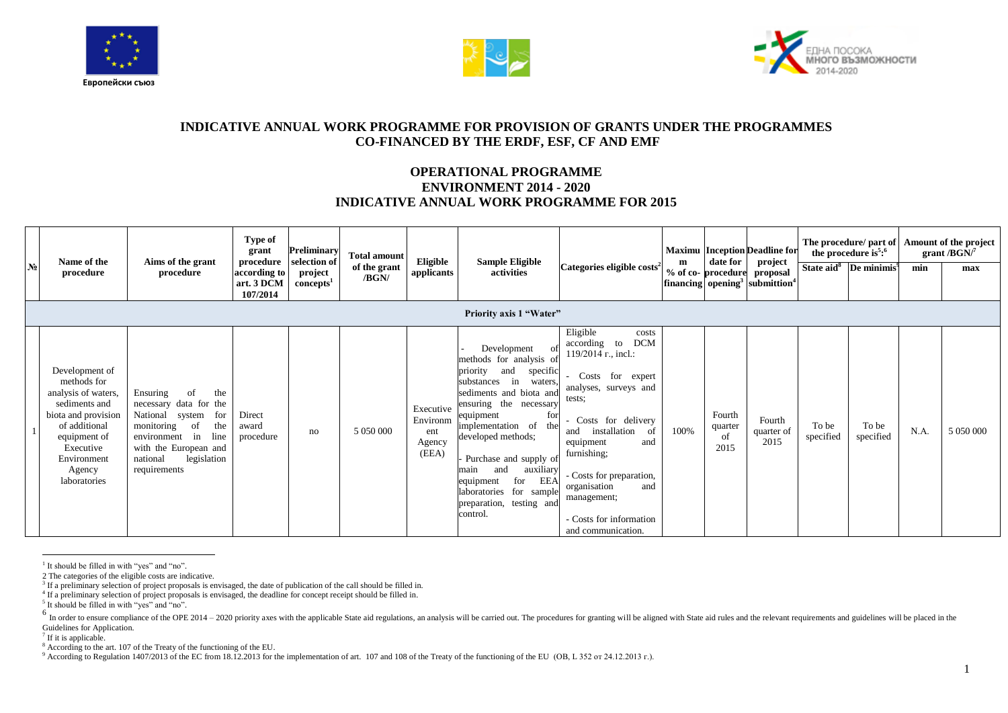





## **INDICATIVE ANNUAL WORK PROGRAMME FOR PROVISION OF GRANTS UNDER THE PROGRAMMES CO-FINANCED BY THE ERDF, ESF, CF AND EMF**

## **OPERATIONAL PROGRAMME ENVIRONMENT 2014 - 2020 INDICATIVE ANNUAL WORK PROGRAMME FOR 2015**

| N <sub>2</sub> | Name of the<br>procedure                                                                                                                                                            | Aims of the grant<br>procedure                                                                                                                                                                   | Type of<br>grant<br>procedure<br>according to<br>art. 3 DCM<br>107/2014 | Preliminary<br>selection of<br>project<br>concepts <sup>1</sup> | <b>Total amount</b><br>of the grant<br>/BGN/ | Eligible<br>applicants                          | <b>Sample Eligible</b><br>activities<br><b>Priority axis 1 "Water"</b>                                                                                                                                                                                                                                                                                                     | Categories eligible costs <sup>2</sup>                                                                                                                                                                                                                                                                             | m    | date for<br>% of co-procedure   | <b>Maximu</b> Inception Deadline for<br>project<br>proposal<br>$\left  \text{financing} \right $ opening <sup>3</sup> submittion <sup>4</sup> |                    | The procedure/ part of<br>the procedure is <sup>5</sup> : $6$<br>State aid <sup>8</sup> De minimis <sup>9</sup> | min  | Amount of the project<br>grant / $BGN$ <sup>7</sup><br>max |
|----------------|-------------------------------------------------------------------------------------------------------------------------------------------------------------------------------------|--------------------------------------------------------------------------------------------------------------------------------------------------------------------------------------------------|-------------------------------------------------------------------------|-----------------------------------------------------------------|----------------------------------------------|-------------------------------------------------|----------------------------------------------------------------------------------------------------------------------------------------------------------------------------------------------------------------------------------------------------------------------------------------------------------------------------------------------------------------------------|--------------------------------------------------------------------------------------------------------------------------------------------------------------------------------------------------------------------------------------------------------------------------------------------------------------------|------|---------------------------------|-----------------------------------------------------------------------------------------------------------------------------------------------|--------------------|-----------------------------------------------------------------------------------------------------------------|------|------------------------------------------------------------|
|                | Development of<br>methods for<br>analysis of waters,<br>sediments and<br>biota and provision<br>of additional<br>equipment of<br>Executive<br>Environment<br>Agency<br>laboratories | Ensuring<br>the<br>-of<br>necessary data for the<br>National system<br>for<br>monitoring<br>the<br>of<br>environment in line<br>with the European and<br>legislation<br>national<br>requirements | Direct<br>award<br>procedure                                            | no                                                              | 5 050 000                                    | Executive<br>Environm<br>ent<br>Agency<br>(EEA) | Development<br>methods for analysis of<br>specific<br>priority<br>and<br>substances in waters,<br>sediments and biota and<br>ensuring the necessary<br>for<br>equipment<br>implementation of the<br>developed methods;<br>Purchase and supply of<br>auxiliary<br>and<br>main<br>EEA<br>equipment<br>for<br>laboratories for sample<br>preparation, testing and<br>control. | Eligible<br>costs<br><b>DCM</b><br>according to<br>119/2014 r., incl.:<br>Costs for expert<br>analyses, surveys and<br>tests:<br>Costs for delivery<br>installation<br>- of<br>and<br>equipment<br>and<br>furnishing;<br>- Costs for preparation,<br>and<br>organisation<br>management;<br>- Costs for information | 100% | Fourth<br>quarter<br>of<br>2015 | Fourth<br>quarter of<br>2015                                                                                                                  | To be<br>specified | To be<br>specified                                                                                              | N.A. | 5 050 000                                                  |

 $\overline{a}$ <sup>1</sup> It should be filled in with "yes" and "no".

<sup>2</sup> The categories of the eligible costs are indicative.<br><sup>3</sup> If a preliminary selection of project proposals is envisaged, the date of publication of the call should be filled in.

<sup>4</sup> If a preliminary selection of project proposals is envisaged, the deadline for concept receipt should be filled in.

<sup>&</sup>lt;sup>5</sup> It should be filled in with "yes" and "no".

<sup>&</sup>lt;sup>6</sup> In order to ensure compliance of the OPE 2014 – 2020 priority axes with the applicable State aid regulations, an analysis will be carried out. The procedures for granting will be aligned with State aid rules and the re Guidelines for Application.

<sup>&</sup>lt;sup>7</sup> If it is applicable.

<sup>&</sup>lt;sup>8</sup> According to the art. 107 of the Treaty of the functioning of the EU.

<sup>9</sup> According to Regulation 1407/2013 of the EC from 18.12.2013 for the implementation of art. 107 and 108 of the Treaty of the functioning of the EU (OB, L 352 or 24.12.2013 r.).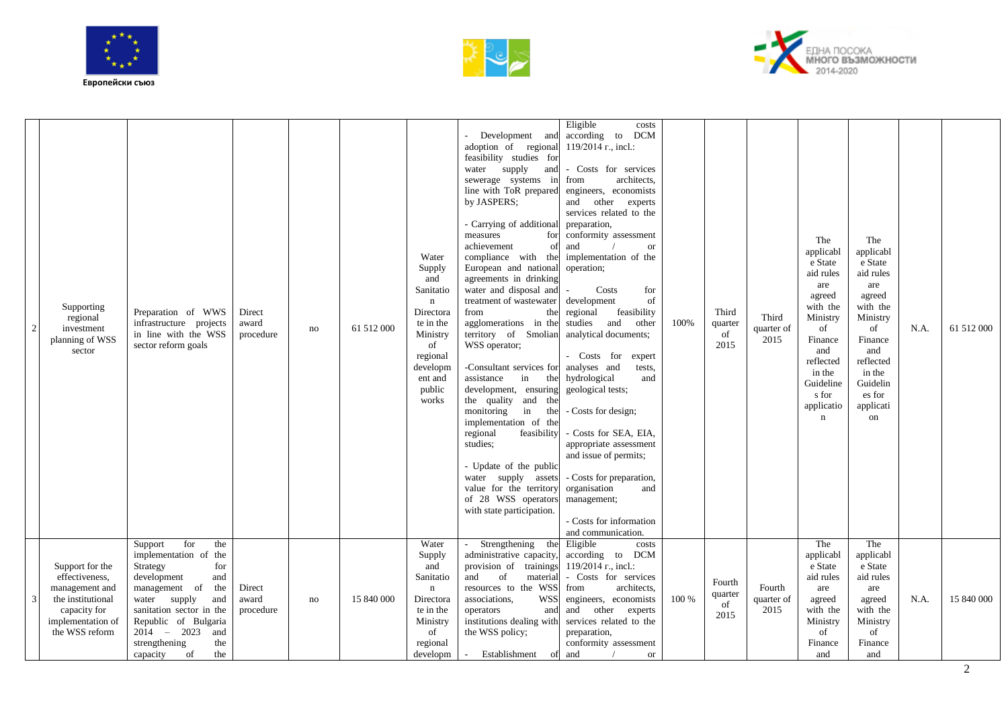





|   | Supporting<br>regional<br>investment<br>planning of WSS<br>sector                                                               | Preparation of WWS<br>infrastructure projects<br>in line with the WSS<br>sector reform goals                                                                                                                                                                                | Direct<br>award<br>procedure | no | 61 512 000 | Water<br>Supply<br>and<br>Sanitatio<br>$\mathbf n$<br>Directora<br>te in the<br>Ministry<br>of<br>regional<br>developm<br>ent and<br>public<br>works | Development and<br>adoption of regional<br>feasibility studies for<br>water supply<br>and<br>sewerage systems in<br>line with ToR prepared<br>by JASPERS;<br>- Carrying of additional<br>measures<br>for<br>achievement<br>of<br>compliance with the<br>European and national<br>agreements in drinking<br>water and disposal and<br>treatment of wastewater<br>from<br>the<br>agglomerations in the<br>territory of Smolian<br>WSS operator;<br>-Consultant services for<br>assistance<br>in<br>the<br>development, ensuring<br>the quality and the<br>monitoring<br>in<br>the<br>implementation of the<br>regional<br>feasibility<br>studies:<br>- Update of the public<br>water supply assets<br>value for the territory<br>of 28 WSS operators<br>with state participation. | Eligible<br>costs<br>according to<br><b>DCM</b><br>119/2014 r., incl.:<br>- Costs for services<br>architects,<br>from<br>engineers, economists<br>and other experts<br>services related to the<br>preparation,<br>conformity assessment<br>and<br>or<br>implementation of the<br>operation;<br>Costs<br>for<br>development<br>of<br>regional<br>feasibility<br>studies and<br>other<br>analytical documents;<br>- Costs for<br>expert<br>analyses and<br>tests,<br>hydrological<br>and<br>geological tests;<br>- Costs for design;<br>- Costs for SEA, EIA,<br>appropriate assessment<br>and issue of permits;<br>- Costs for preparation,<br>organisation<br>and<br>management;<br>- Costs for information<br>and communication. | 100%  | Third<br>quarter<br>of<br>2015  | Third<br>quarter of<br>2015  | The<br>applicabl<br>e State<br>aid rules<br>are<br>agreed<br>with the<br>Ministry<br>of<br>Finance<br>and<br>reflected<br>in the<br>Guideline<br>s for<br>applicatio<br>$\mathbf n$ | The<br>applicabl<br>e State<br>aid rules<br>are<br>agreed<br>with the<br>Ministry<br>of<br>Finance<br>and<br>reflected<br>in the<br>Guidelin<br>es for<br>applicati<br>on | N.A. | 61 512 000 |
|---|---------------------------------------------------------------------------------------------------------------------------------|-----------------------------------------------------------------------------------------------------------------------------------------------------------------------------------------------------------------------------------------------------------------------------|------------------------------|----|------------|------------------------------------------------------------------------------------------------------------------------------------------------------|---------------------------------------------------------------------------------------------------------------------------------------------------------------------------------------------------------------------------------------------------------------------------------------------------------------------------------------------------------------------------------------------------------------------------------------------------------------------------------------------------------------------------------------------------------------------------------------------------------------------------------------------------------------------------------------------------------------------------------------------------------------------------------|-----------------------------------------------------------------------------------------------------------------------------------------------------------------------------------------------------------------------------------------------------------------------------------------------------------------------------------------------------------------------------------------------------------------------------------------------------------------------------------------------------------------------------------------------------------------------------------------------------------------------------------------------------------------------------------------------------------------------------------|-------|---------------------------------|------------------------------|-------------------------------------------------------------------------------------------------------------------------------------------------------------------------------------|---------------------------------------------------------------------------------------------------------------------------------------------------------------------------|------|------------|
| 3 | Support for the<br>effectiveness,<br>management and<br>the institutional<br>capacity for<br>implementation of<br>the WSS reform | for<br>Support<br>the<br>implementation of the<br>Strategy<br>for<br>development<br>and<br>management of the<br>water supply<br>and<br>sanitation sector in the<br>Republic of Bulgaria<br>$2014 - 2023$<br>and<br>strengthening<br>the<br>capacity<br>the<br><sub>of</sub> | Direct<br>award<br>procedure | no | 15 840 000 | Water<br>Supply<br>and<br>Sanitatio<br>$\mathbf n$<br>Directora<br>te in the<br>Ministry<br>of<br>regional<br>developm                               | Strengthening the<br>administrative capacity,<br>provision of trainings<br>of<br>and<br>material<br>resources to the WSS<br>associations,<br><b>WSS</b><br>operators<br>and<br>institutions dealing with<br>the WSS policy;<br>Establishment<br>$\sim$ $-$                                                                                                                                                                                                                                                                                                                                                                                                                                                                                                                      | Eligible<br>costs<br>according to DCM<br>$119/2014$ r., incl.:<br>- Costs for services<br>architects.<br>from<br>engineers, economists<br>and other experts<br>services related to the<br>preparation,<br>conformity assessment<br>of and<br><b>or</b>                                                                                                                                                                                                                                                                                                                                                                                                                                                                            | 100 % | Fourth<br>quarter<br>of<br>2015 | Fourth<br>quarter of<br>2015 | The<br>applicabl<br>e State<br>aid rules<br>are<br>agreed<br>with the<br>Ministry<br>of<br>Finance<br>and                                                                           | The<br>applicabl<br>e State<br>aid rules<br>are<br>agreed<br>with the<br>Ministry<br>of<br>Finance<br>and                                                                 | N.A. | 15 840 000 |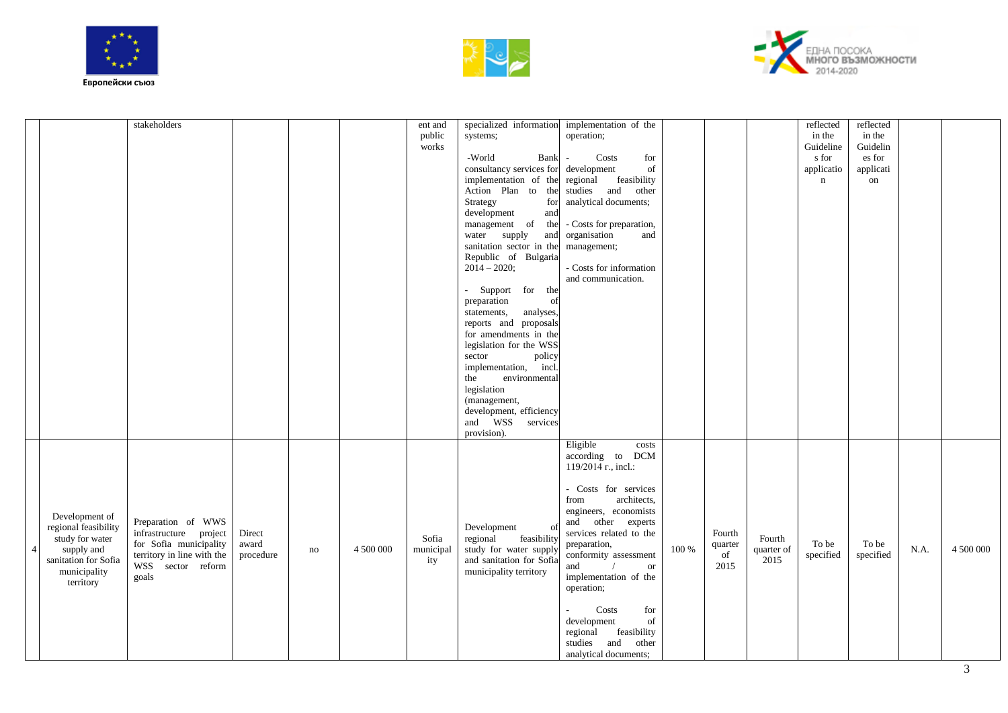





|                                                                                                                              | stakeholders                                                                                                                       |                              |    |           | ent and<br>public<br>works | systems;<br>-World<br>Bank<br>consultancy services for development<br>Action Plan to the studies and<br>Strategy<br>for<br>development<br>and<br>management of the - Costs for preparation,<br>water supply<br>and<br>sanitation sector in the management;<br>Republic of Bulgaria<br>$2014 - 2020$ ;<br>- Support for the<br>preparation<br>of<br>statements,<br>analyses,<br>reports and proposals<br>for amendments in the<br>legislation for the WSS<br>sector<br>policy<br>implementation, incl.<br>the<br>environmental<br>legislation<br>(management,<br>development, efficiency<br>and WSS services<br>provision). | specialized information implementation of the<br>operation;<br>Costs<br>for<br>$\mathcal{L}_{\mathcal{A}}$<br>of<br>implementation of the regional feasibility<br>other<br>analytical documents;<br>organisation<br>and<br>- Costs for information<br>and communication.                                                                                                                                  |       |                                 |                              | reflected<br>in the<br>Guideline<br>s for<br>applicatio<br>$\mathbf n$ | reflected<br>in the<br>Guidelin<br>es for<br>applicati<br>on |      |           |
|------------------------------------------------------------------------------------------------------------------------------|------------------------------------------------------------------------------------------------------------------------------------|------------------------------|----|-----------|----------------------------|----------------------------------------------------------------------------------------------------------------------------------------------------------------------------------------------------------------------------------------------------------------------------------------------------------------------------------------------------------------------------------------------------------------------------------------------------------------------------------------------------------------------------------------------------------------------------------------------------------------------------|-----------------------------------------------------------------------------------------------------------------------------------------------------------------------------------------------------------------------------------------------------------------------------------------------------------------------------------------------------------------------------------------------------------|-------|---------------------------------|------------------------------|------------------------------------------------------------------------|--------------------------------------------------------------|------|-----------|
| Development of<br>regional feasibility<br>study for water<br>supply and<br>sanitation for Sofia<br>municipality<br>territory | Preparation of WWS<br>infrastructure project<br>for Sofia municipality<br>territory in line with the<br>WSS sector reform<br>goals | Direct<br>award<br>procedure | no | 4 500 000 | Sofia<br>municipal<br>ity  | Development<br>regional<br>feasibility<br>study for water supply<br>and sanitation for Sofia<br>municipality territory                                                                                                                                                                                                                                                                                                                                                                                                                                                                                                     | Eligible<br>costs<br>according to DCM<br>119/2014 r., incl.:<br>- Costs for services<br>architects,<br>from<br>engineers, economists<br>and other experts<br>services related to the<br>preparation,<br>conformity assessment<br>and<br><b>or</b><br>implementation of the<br>operation;<br>Costs<br>for<br>development<br>of<br>regional<br>feasibility<br>studies and<br>other<br>analytical documents; | 100 % | Fourth<br>quarter<br>of<br>2015 | Fourth<br>quarter of<br>2015 | To be<br>specified                                                     | To be<br>specified                                           | N.A. | 4 500 000 |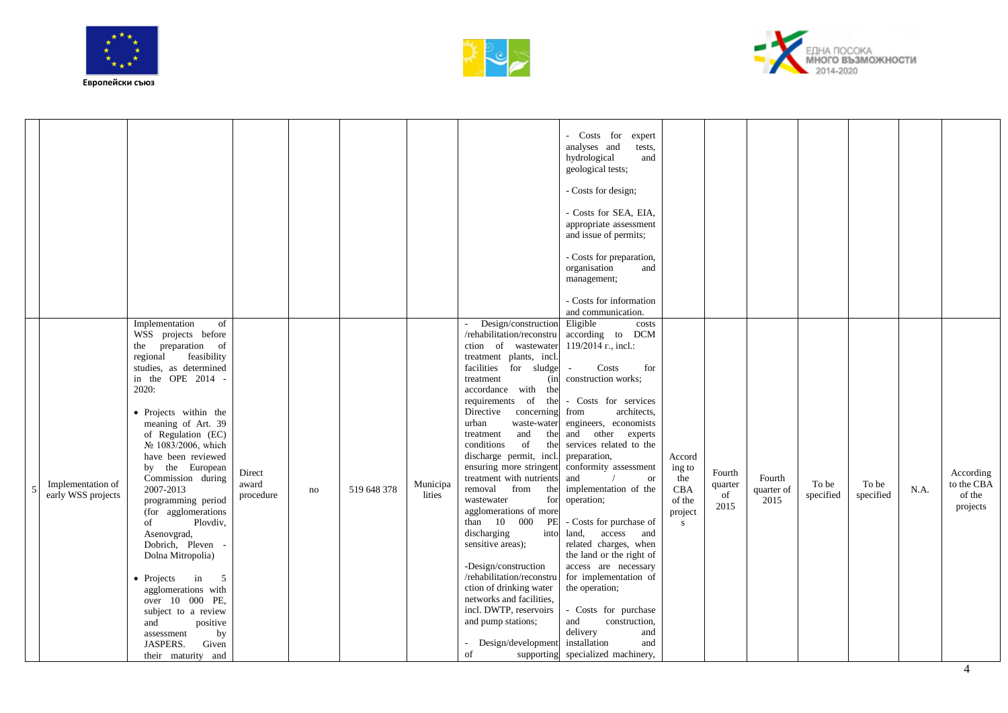





|   |                                         |                                                                                                                                                                                                                                                                                                                                                                                                                                                                                                                                                                                                                                   |                              |    |             |                    |                                                                                                                                                                                                                                                                                                                                                                                                                                                                                                                                                                                                                                                                                                                                       | - Costs for<br>expert<br>analyses and<br>tests,<br>hydrological<br>and<br>geological tests;<br>- Costs for design;<br>- Costs for SEA, EIA,<br>appropriate assessment<br>and issue of permits;<br>- Costs for preparation,<br>organisation<br>and<br>management;<br>- Costs for information<br>and communication.                                                                                                                                                                                                                                                                                                                |                                                          |                                 |                              |                    |                    |      |                                               |
|---|-----------------------------------------|-----------------------------------------------------------------------------------------------------------------------------------------------------------------------------------------------------------------------------------------------------------------------------------------------------------------------------------------------------------------------------------------------------------------------------------------------------------------------------------------------------------------------------------------------------------------------------------------------------------------------------------|------------------------------|----|-------------|--------------------|---------------------------------------------------------------------------------------------------------------------------------------------------------------------------------------------------------------------------------------------------------------------------------------------------------------------------------------------------------------------------------------------------------------------------------------------------------------------------------------------------------------------------------------------------------------------------------------------------------------------------------------------------------------------------------------------------------------------------------------|----------------------------------------------------------------------------------------------------------------------------------------------------------------------------------------------------------------------------------------------------------------------------------------------------------------------------------------------------------------------------------------------------------------------------------------------------------------------------------------------------------------------------------------------------------------------------------------------------------------------------------|----------------------------------------------------------|---------------------------------|------------------------------|--------------------|--------------------|------|-----------------------------------------------|
| 5 | Implementation of<br>early WSS projects | Implementation<br>of<br>WSS projects before<br>the preparation of<br>regional<br>feasibility<br>studies, as determined<br>in the OPE 2014<br>2020:<br>• Projects within the<br>meaning of Art. 39<br>of Regulation (EC)<br>№ 1083/2006, which<br>have been reviewed<br>by the European<br>Commission during<br>2007-2013<br>programming period<br>(for agglomerations<br>Plovdiv,<br>of<br>Asenovgrad,<br>Dobrich, Pleven<br>Dolna Mitropolia)<br>• Projects<br>5<br>in<br>agglomerations with<br>over 10 000 PE,<br>subject to a review<br>and<br>positive<br>by<br>assessment<br><b>JASPERS.</b><br>Given<br>their maturity and | Direct<br>award<br>procedure | no | 519 648 378 | Municipa<br>lities | Design/construction<br>/rehabilitation/reconstru<br>ction of wastewater<br>treatment plants, incl.<br>facilities for sludge<br>treatment<br>(in<br>accordance with the<br>requirements of the<br>Directive<br>concerning<br>urban<br>waste-water<br>and<br>the<br>treatment<br>of<br>conditions<br>the<br>discharge permit, incl.<br>ensuring more stringent<br>treatment with nutrients<br>removal from<br>the<br>wastewater<br>for<br>agglomerations of more<br>than 10 000<br>PE<br>discharging<br>into<br>sensitive areas);<br>-Design/construction<br>/rehabilitation/reconstru<br>ction of drinking water<br>networks and facilities,<br>incl. DWTP, reservoirs<br>and pump stations;<br>Design/development<br>of<br>supporting | Eligible<br>costs<br>according to DCM<br>119/2014 r., incl.:<br>Costs<br>for<br>construction works;<br>- Costs for services<br>architects.<br>from<br>engineers, economists<br>and other experts<br>services related to the<br>preparation,<br>conformity assessment<br>and<br><b>or</b><br>implementation of the<br>operation;<br>- Costs for purchase of<br>land,<br>access<br>and<br>related charges, when<br>the land or the right of<br>access are necessary<br>for implementation of<br>the operation;<br>- Costs for purchase<br>construction,<br>and<br>delivery<br>and<br>installation<br>and<br>specialized machinery, | Accord<br>ing to<br>the<br>CBA<br>of the<br>project<br>S | Fourth<br>quarter<br>of<br>2015 | Fourth<br>quarter of<br>2015 | To be<br>specified | To be<br>specified | N.A. | According<br>to the CBA<br>of the<br>projects |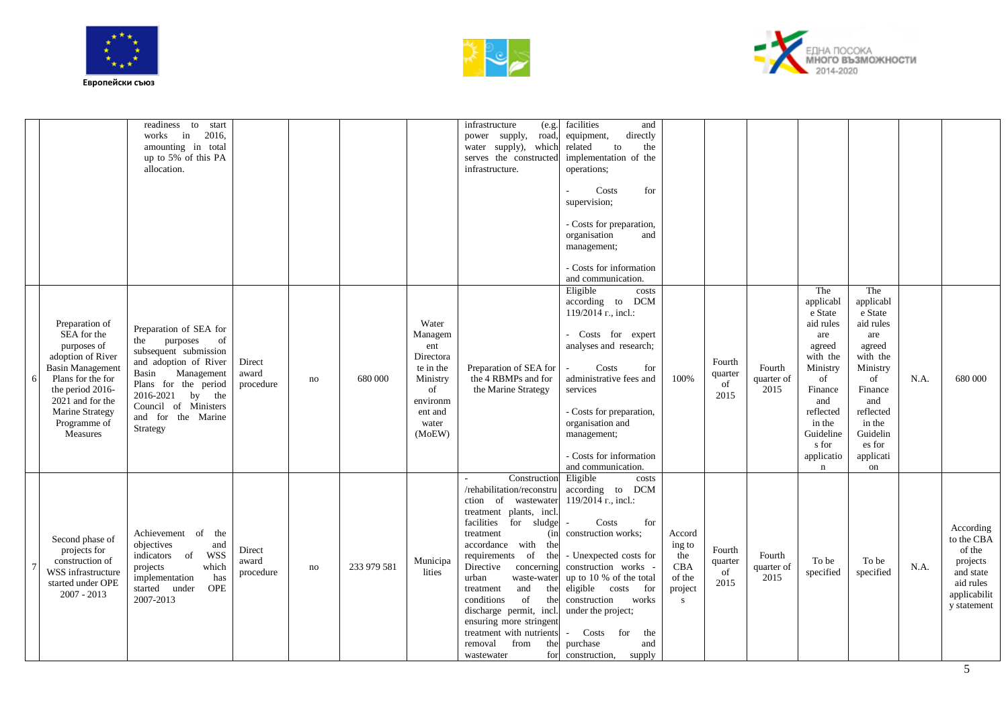





|                                                                                                                                                                                                                 | readiness<br>to<br>start<br>works<br>2016,<br>in<br>amounting in total<br>up to 5% of this PA<br>allocation.                                                                                                                      |                              |    |             |                                                                                                               | infrastructure<br>(e.g.<br>power supply,<br>road,<br>water supply), which<br>serves the constructed<br>infrastructure.                                                                                                                                                                                                                                                                                                              | facilities<br>and<br>directly<br>equipment,<br>related<br>to<br>the<br>implementation of the<br>operations;<br>Costs<br>for<br>supervision;<br>- Costs for preparation,<br>organisation<br>and<br>management;<br>- Costs for information<br>and communication.                                                                                                             |                                                           |                                 |                              |                                                                                                                                                                                     |                                                                                                                                                                           |      |                                                                                                        |
|-----------------------------------------------------------------------------------------------------------------------------------------------------------------------------------------------------------------|-----------------------------------------------------------------------------------------------------------------------------------------------------------------------------------------------------------------------------------|------------------------------|----|-------------|---------------------------------------------------------------------------------------------------------------|-------------------------------------------------------------------------------------------------------------------------------------------------------------------------------------------------------------------------------------------------------------------------------------------------------------------------------------------------------------------------------------------------------------------------------------|----------------------------------------------------------------------------------------------------------------------------------------------------------------------------------------------------------------------------------------------------------------------------------------------------------------------------------------------------------------------------|-----------------------------------------------------------|---------------------------------|------------------------------|-------------------------------------------------------------------------------------------------------------------------------------------------------------------------------------|---------------------------------------------------------------------------------------------------------------------------------------------------------------------------|------|--------------------------------------------------------------------------------------------------------|
| Preparation of<br>SEA for the<br>purposes of<br>adoption of River<br><b>Basin Management</b><br>Plans for the for<br>the period 2016-<br>2021 and for the<br><b>Marine Strategy</b><br>Programme of<br>Measures | Preparation of SEA for<br>purposes<br>of<br>the<br>subsequent submission<br>and adoption of River<br>Management<br>Basin<br>Plans for the period<br>2016-2021<br>by the<br>Council of Ministers<br>and for the Marine<br>Strategy | Direct<br>award<br>procedure | no | 680 000     | Water<br>Managem<br>ent<br>Directora<br>te in the<br>Ministry<br>of<br>environm<br>ent and<br>water<br>(MoEW) | Preparation of SEA for<br>the 4 RBMPs and for<br>the Marine Strategy                                                                                                                                                                                                                                                                                                                                                                | Eligible<br>costs<br>DCM<br>according to<br>119/2014 r., incl.:<br>- Costs for expert<br>analyses and research;<br>Costs<br>for<br>administrative fees and<br>services<br>- Costs for preparation,<br>organisation and<br>management;<br>- Costs for information<br>and communication.                                                                                     | 100%                                                      | Fourth<br>quarter<br>of<br>2015 | Fourth<br>quarter of<br>2015 | The<br>applicabl<br>e State<br>aid rules<br>are<br>agreed<br>with the<br>Ministry<br>of<br>Finance<br>and<br>reflected<br>in the<br>Guideline<br>s for<br>applicatio<br>$\mathbf n$ | The<br>applicabl<br>e State<br>aid rules<br>are<br>agreed<br>with the<br>Ministry<br>of<br>Finance<br>and<br>reflected<br>in the<br>Guidelin<br>es for<br>applicati<br>on | N.A. | 680 000                                                                                                |
| Second phase of<br>projects for<br>construction of<br>WSS infrastructure<br>started under OPE<br>$2007 - 2013$                                                                                                  | Achievement of the<br>objectives<br>and<br><b>WSS</b><br>indicators of<br>which<br>projects<br>implementation<br>has<br><b>OPE</b><br>started under<br>2007-2013                                                                  | Direct<br>award<br>procedure | no | 233 979 581 | Municipa<br>lities                                                                                            | Construction<br>/rehabilitation/reconstru<br>ction of wastewater<br>treatment plants, incl.<br>facilities for sludge<br>treatment<br>(in<br>accordance with the<br>the<br>requirements of<br>Directive<br>concerning<br>urban<br>waste-water<br>and<br>treatment<br>the<br>conditions<br>of<br>the<br>discharge permit, incl.<br>ensuring more stringent<br>treatment with nutrients<br>removal<br>from<br>the<br>for<br>wastewater | Eligible<br>costs<br>according to<br><b>DCM</b><br>119/2014 r., incl.:<br>Costs<br>for<br>$\sim$<br>construction works;<br>- Unexpected costs for<br>construction works -<br>up to 10 % of the total<br>eligible costs<br>for<br>construction<br>works<br>under the project;<br>Costs for<br>the<br>$\overline{\phantom{0}}$<br>purchase<br>and<br>construction,<br>supply | Accord<br>ing to<br>the<br>CBA<br>of the<br>project<br>S. | Fourth<br>quarter<br>of<br>2015 | Fourth<br>quarter of<br>2015 | To be<br>specified                                                                                                                                                                  | To be<br>specified                                                                                                                                                        | N.A. | According<br>to the CBA<br>of the<br>projects<br>and state<br>aid rules<br>applicabilit<br>y statement |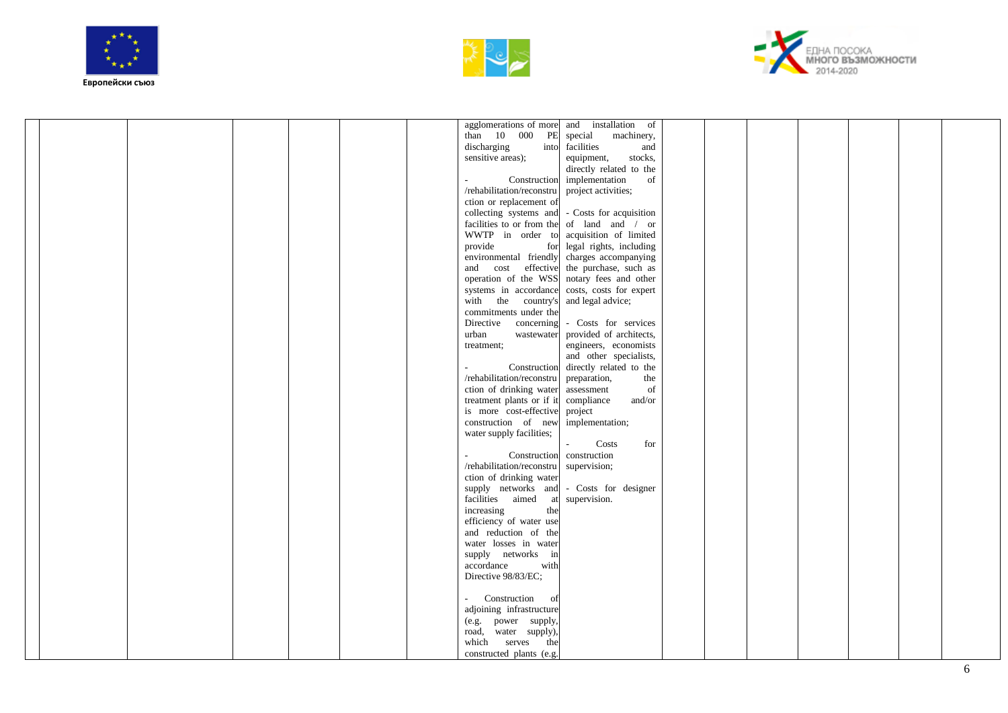





|  |  |  |                                | agglomerations of more and installation of     |  |  |  |  |
|--|--|--|--------------------------------|------------------------------------------------|--|--|--|--|
|  |  |  | than 10 000 PE                 | machinery,<br>special                          |  |  |  |  |
|  |  |  | discharging<br>into            | facilities<br>and                              |  |  |  |  |
|  |  |  | sensitive areas);              | stocks,<br>equipment,                          |  |  |  |  |
|  |  |  |                                | directly related to the                        |  |  |  |  |
|  |  |  |                                | Construction implementation<br>of              |  |  |  |  |
|  |  |  | /rehabilitation/reconstru      | project activities;                            |  |  |  |  |
|  |  |  | ction or replacement of        |                                                |  |  |  |  |
|  |  |  |                                | collecting systems and - Costs for acquisition |  |  |  |  |
|  |  |  |                                | facilities to or from the of land and / or     |  |  |  |  |
|  |  |  |                                | WWTP in order to acquisition of limited        |  |  |  |  |
|  |  |  | provide                        | for legal rights, including                    |  |  |  |  |
|  |  |  | environmental friendly         | charges accompanying                           |  |  |  |  |
|  |  |  | and cost effective             | the purchase, such as                          |  |  |  |  |
|  |  |  |                                | operation of the WSS notary fees and other     |  |  |  |  |
|  |  |  | systems in accordance          | costs, costs for expert                        |  |  |  |  |
|  |  |  | with the country's             | and legal advice;                              |  |  |  |  |
|  |  |  | commitments under the          |                                                |  |  |  |  |
|  |  |  | Directive<br>concerning        | - Costs for services                           |  |  |  |  |
|  |  |  | urban<br>wastewater            | provided of architects,                        |  |  |  |  |
|  |  |  | treatment;                     | engineers, economists                          |  |  |  |  |
|  |  |  |                                | and other specialists,                         |  |  |  |  |
|  |  |  | Construction<br>$\sim$         | directly related to the                        |  |  |  |  |
|  |  |  | /rehabilitation/reconstru      | preparation,<br>the                            |  |  |  |  |
|  |  |  | ction of drinking water        | of<br>assessment                               |  |  |  |  |
|  |  |  | treatment plants or if it      | compliance<br>and/or                           |  |  |  |  |
|  |  |  | is more cost-effective         | project                                        |  |  |  |  |
|  |  |  | construction of new            | implementation;                                |  |  |  |  |
|  |  |  | water supply facilities;       |                                                |  |  |  |  |
|  |  |  |                                | for<br>Costs                                   |  |  |  |  |
|  |  |  | Construction                   | construction                                   |  |  |  |  |
|  |  |  | /rehabilitation/reconstru $\,$ | supervision;                                   |  |  |  |  |
|  |  |  | ction of drinking water        |                                                |  |  |  |  |
|  |  |  |                                | supply networks and - Costs for designer       |  |  |  |  |
|  |  |  | facilities aimed at            | supervision.                                   |  |  |  |  |
|  |  |  | increasing<br>the              |                                                |  |  |  |  |
|  |  |  | efficiency of water use        |                                                |  |  |  |  |
|  |  |  | and reduction of the           |                                                |  |  |  |  |
|  |  |  | water losses in water          |                                                |  |  |  |  |
|  |  |  | supply networks in             |                                                |  |  |  |  |
|  |  |  | accordance<br>with             |                                                |  |  |  |  |
|  |  |  | Directive 98/83/EC;            |                                                |  |  |  |  |
|  |  |  |                                |                                                |  |  |  |  |
|  |  |  | - Construction of              |                                                |  |  |  |  |
|  |  |  | adjoining infrastructure       |                                                |  |  |  |  |
|  |  |  | (e.g. power supply,            |                                                |  |  |  |  |
|  |  |  | road, water supply),           |                                                |  |  |  |  |
|  |  |  | which serves the               |                                                |  |  |  |  |
|  |  |  | constructed plants (e.g.       |                                                |  |  |  |  |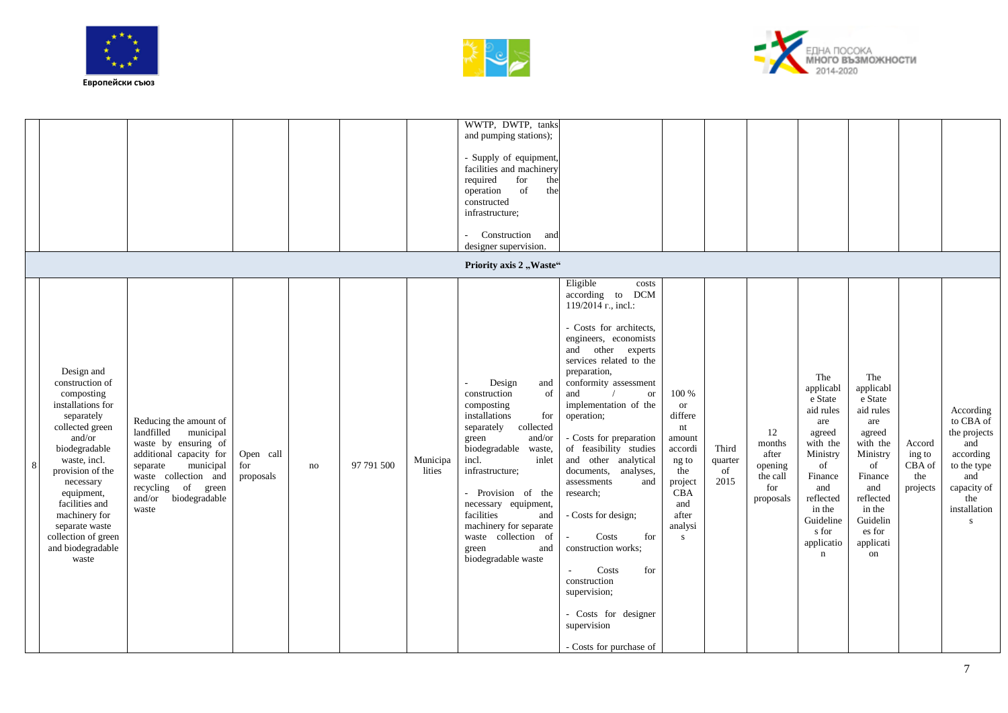





|   |                                                                                                                                                                                                                                                                                                       |                                                                                                                                                                                                                    |                               |    |            |                    | WWTP, DWTP, tanks<br>and pumping stations);<br>- Supply of equipment,<br>facilities and machinery<br>for<br>required<br>the<br>operation<br>of<br>the<br>constructed<br>infrastructure;<br>Construction<br>and<br>designer supervision.<br>Priority axis 2 "Waste"                                                                                 |                                                                                                                                                                                                                                                                                                                                                                                                                                                                                                                                                                                                        |                                                                                                                                       |                                |                                                                  |                                                                                                                                                                                      |                                                                                                                                                                           |                                               |                                                                                                                                        |
|---|-------------------------------------------------------------------------------------------------------------------------------------------------------------------------------------------------------------------------------------------------------------------------------------------------------|--------------------------------------------------------------------------------------------------------------------------------------------------------------------------------------------------------------------|-------------------------------|----|------------|--------------------|----------------------------------------------------------------------------------------------------------------------------------------------------------------------------------------------------------------------------------------------------------------------------------------------------------------------------------------------------|--------------------------------------------------------------------------------------------------------------------------------------------------------------------------------------------------------------------------------------------------------------------------------------------------------------------------------------------------------------------------------------------------------------------------------------------------------------------------------------------------------------------------------------------------------------------------------------------------------|---------------------------------------------------------------------------------------------------------------------------------------|--------------------------------|------------------------------------------------------------------|--------------------------------------------------------------------------------------------------------------------------------------------------------------------------------------|---------------------------------------------------------------------------------------------------------------------------------------------------------------------------|-----------------------------------------------|----------------------------------------------------------------------------------------------------------------------------------------|
| 8 | Design and<br>construction of<br>composting<br>installations for<br>separately<br>collected green<br>and/or<br>biodegradable<br>waste, incl.<br>provision of the<br>necessary<br>equipment,<br>facilities and<br>machinery for<br>separate waste<br>collection of green<br>and biodegradable<br>waste | Reducing the amount of<br>municipal<br>landfilled<br>waste by ensuring of<br>additional capacity for<br>municipal<br>separate<br>waste collection and<br>of green<br>recycling<br>biodegradable<br>and/or<br>waste | Open call<br>for<br>proposals | no | 97 791 500 | Municipa<br>lities | Design<br>and<br>construction<br>of<br>composting<br>installations<br>for<br>collected<br>separately<br>and/or<br>green<br>biodegradable<br>waste,<br>incl.<br>inlet<br>infrastructure;<br>- Provision of the<br>necessary equipment,<br>facilities<br>and<br>machinery for separate<br>waste collection of<br>green<br>and<br>biodegradable waste | Eligible<br>costs<br>according to<br><b>DCM</b><br>119/2014 r., incl.:<br>- Costs for architects,<br>engineers, economists<br>and other experts<br>services related to the<br>preparation,<br>conformity assessment<br>and<br><b>or</b><br>implementation of the<br>operation;<br>- Costs for preparation<br>of feasibility studies<br>and other analytical<br>documents, analyses,<br>assessments<br>and<br>research;<br>- Costs for design;<br>Costs<br>for<br>construction works;<br>Costs<br>for<br>construction<br>supervision;<br>- Costs for designer<br>supervision<br>- Costs for purchase of | 100 %<br><b>or</b><br>differe<br>nt<br>amount<br>accordi<br>ng to<br>the<br>project<br>CBA<br>and<br>after<br>analysi<br>$\mathbf{s}$ | Third<br>quarter<br>of<br>2015 | 12<br>months<br>after<br>opening<br>the call<br>for<br>proposals | The<br>applicabl<br>e State<br>aid rules<br>are<br>agreed<br>with the<br>Ministry<br>of<br>Finance<br>and<br>reflected<br>in the<br>Guideline<br>s for<br>applicatio<br>$\mathbf{n}$ | The<br>applicabl<br>e State<br>aid rules<br>are<br>agreed<br>with the<br>Ministry<br>of<br>Finance<br>and<br>reflected<br>in the<br>Guidelin<br>es for<br>applicati<br>on | Accord<br>ing to<br>CBA of<br>the<br>projects | According<br>to CBA of<br>the projects<br>and<br>according<br>to the type<br>and<br>capacity of<br>the<br>installation<br>$\mathbf{s}$ |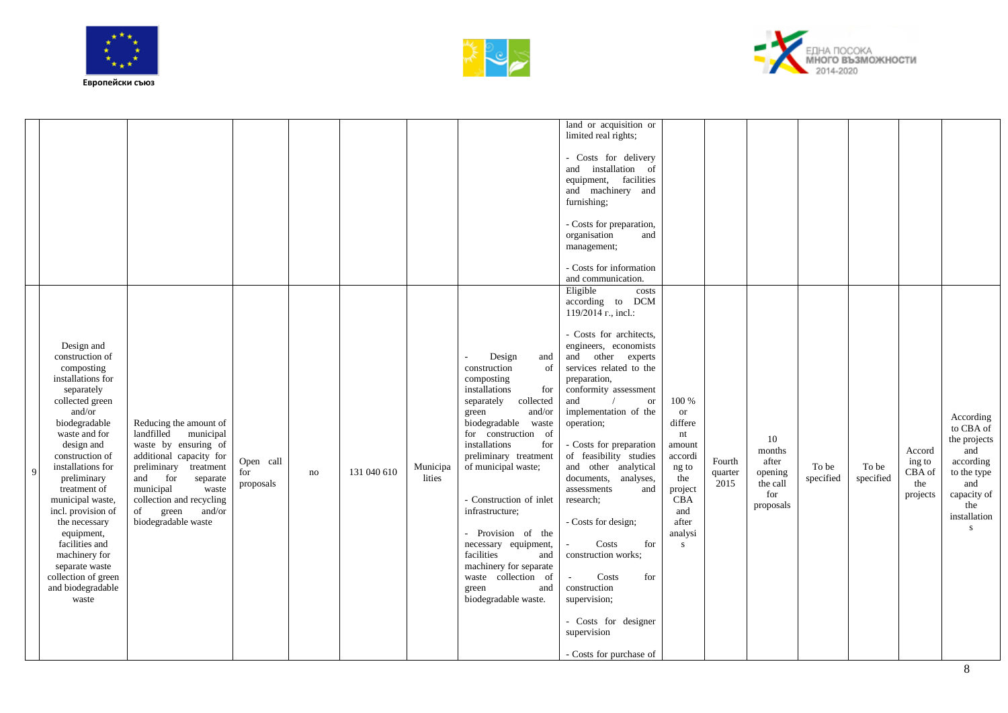





|   |                                                                                                                                                                                                                                                                                                                                                                                                                       |                                                                                                                                                                                                                                                           |                               |    |             |                    |                                                                                                                                                                                                                                                                                                                                                                                                                                                         | land or acquisition or<br>limited real rights;<br>- Costs for delivery<br>and installation of<br>equipment, facilities<br>and machinery and<br>furnishing;<br>- Costs for preparation,<br>organisation<br>and<br>management;<br>- Costs for information<br>and communication.                                                                                                                                                                                                                                                                                                                              |                                                                                                                                       |                           |                                                                  |                    |                    |                                               |                                                                                                                             |
|---|-----------------------------------------------------------------------------------------------------------------------------------------------------------------------------------------------------------------------------------------------------------------------------------------------------------------------------------------------------------------------------------------------------------------------|-----------------------------------------------------------------------------------------------------------------------------------------------------------------------------------------------------------------------------------------------------------|-------------------------------|----|-------------|--------------------|---------------------------------------------------------------------------------------------------------------------------------------------------------------------------------------------------------------------------------------------------------------------------------------------------------------------------------------------------------------------------------------------------------------------------------------------------------|------------------------------------------------------------------------------------------------------------------------------------------------------------------------------------------------------------------------------------------------------------------------------------------------------------------------------------------------------------------------------------------------------------------------------------------------------------------------------------------------------------------------------------------------------------------------------------------------------------|---------------------------------------------------------------------------------------------------------------------------------------|---------------------------|------------------------------------------------------------------|--------------------|--------------------|-----------------------------------------------|-----------------------------------------------------------------------------------------------------------------------------|
| 9 | Design and<br>construction of<br>composting<br>installations for<br>separately<br>collected green<br>and/or<br>biodegradable<br>waste and for<br>design and<br>construction of<br>installations for<br>preliminary<br>treatment of<br>municipal waste,<br>incl. provision of<br>the necessary<br>equipment,<br>facilities and<br>machinery for<br>separate waste<br>collection of green<br>and biodegradable<br>waste | Reducing the amount of<br>municipal<br>landfilled<br>waste by ensuring of<br>additional capacity for<br>preliminary treatment<br>for<br>and<br>separate<br>municipal<br>waste<br>collection and recycling<br>green<br>of<br>and/or<br>biodegradable waste | Open call<br>for<br>proposals | no | 131 040 610 | Municipa<br>lities | Design<br>and<br>construction<br>of<br>composting<br>installations<br>for<br>separately<br>collected<br>and/or<br>green<br>biodegradable waste<br>for construction of<br>installations<br>for<br>preliminary treatment<br>of municipal waste;<br>- Construction of inlet<br>infrastructure;<br>- Provision of the<br>necessary equipment,<br>facilities<br>and<br>machinery for separate<br>waste collection of<br>and<br>green<br>biodegradable waste. | Eligible<br>costs<br>according to DCM<br>119/2014 r., incl.:<br>- Costs for architects,<br>engineers, economists<br>and other experts<br>services related to the<br>preparation,<br>conformity assessment<br>and<br>$\hbox{or}\hskip2pt$<br>implementation of the<br>operation;<br>- Costs for preparation<br>of feasibility studies<br>and other analytical<br>documents,<br>analyses,<br>assessments<br>and<br>research;<br>- Costs for design;<br>Costs<br>for<br>construction works;<br>Costs<br>for<br>construction<br>supervision;<br>- Costs for designer<br>supervision<br>- Costs for purchase of | 100 %<br><b>or</b><br>differe<br>nt<br>amount<br>accordi<br>ng to<br>the<br>project<br>CBA<br>and<br>after<br>analysi<br>$\mathbf{s}$ | Fourth<br>quarter<br>2015 | 10<br>months<br>after<br>opening<br>the call<br>for<br>proposals | To be<br>specified | To be<br>specified | Accord<br>ing to<br>CBA of<br>the<br>projects | According<br>to CBA of<br>the projects<br>and<br>according<br>to the type<br>and<br>capacity of<br>the<br>installation<br>s |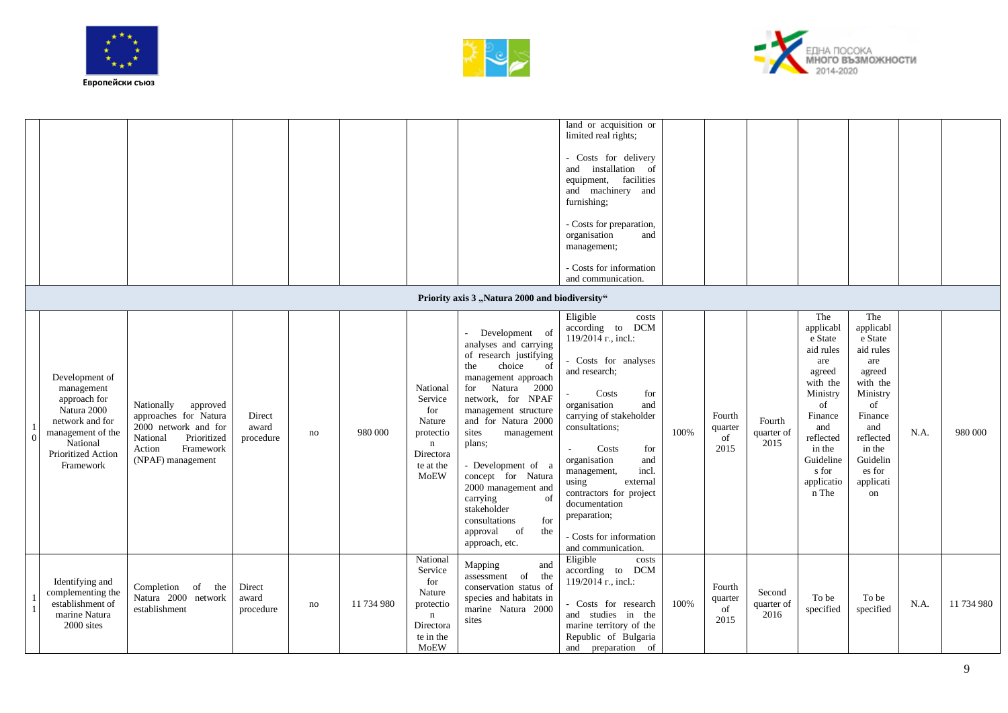





|          |                                                                                                                                                    |                                                                                                                                                |                              |    |            |                                                                                                           |                                                                                                                                                                                                                                                                                                                                                                                                                           | land or acquisition or<br>limited real rights;<br>- Costs for delivery<br>and installation of<br>equipment, facilities<br>and machinery and<br>furnishing;<br>- Costs for preparation,<br>organisation<br>and<br>management;<br>- Costs for information<br>and communication.                                                                                                                        |      |                                 |                              |                                                                                                                                                                               |                                                                                                                                                                           |      |            |
|----------|----------------------------------------------------------------------------------------------------------------------------------------------------|------------------------------------------------------------------------------------------------------------------------------------------------|------------------------------|----|------------|-----------------------------------------------------------------------------------------------------------|---------------------------------------------------------------------------------------------------------------------------------------------------------------------------------------------------------------------------------------------------------------------------------------------------------------------------------------------------------------------------------------------------------------------------|------------------------------------------------------------------------------------------------------------------------------------------------------------------------------------------------------------------------------------------------------------------------------------------------------------------------------------------------------------------------------------------------------|------|---------------------------------|------------------------------|-------------------------------------------------------------------------------------------------------------------------------------------------------------------------------|---------------------------------------------------------------------------------------------------------------------------------------------------------------------------|------|------------|
|          |                                                                                                                                                    |                                                                                                                                                |                              |    |            |                                                                                                           | Priority axis 3 "Natura 2000 and biodiversity"                                                                                                                                                                                                                                                                                                                                                                            |                                                                                                                                                                                                                                                                                                                                                                                                      |      |                                 |                              |                                                                                                                                                                               |                                                                                                                                                                           |      |            |
| $\Omega$ | Development of<br>management<br>approach for<br>Natura 2000<br>network and for<br>management of the<br>National<br>Prioritized Action<br>Framework | Nationally<br>approved<br>approaches for Natura<br>2000 network and for<br>Prioritized<br>National<br>Framework<br>Action<br>(NPAF) management | Direct<br>award<br>procedure | no | 980 000    | National<br>Service<br>for<br>Nature<br>protectio<br>$\mathbf n$<br>Directora<br>te at the<br><b>MoEW</b> | Development of<br>analyses and carrying<br>of research justifying<br>choice<br>the<br><sub>of</sub><br>management approach<br>for<br>Natura 2000<br>network, for NPAF<br>management structure<br>and for Natura 2000<br>sites<br>management<br>plans:<br>- Development of a<br>concept for Natura<br>2000 management and<br>carrying<br>of<br>stakeholder<br>consultations<br>for<br>approval of<br>the<br>approach, etc. | Eligible<br>costs<br><b>DCM</b><br>according to<br>119/2014 r., incl.:<br>- Costs for analyses<br>and research;<br>Costs<br>for<br>organisation<br>and<br>carrying of stakeholder<br>consultations;<br>Costs<br>for<br>organisation<br>and<br>incl.<br>management,<br>using<br>external<br>contractors for project<br>documentation<br>preparation;<br>- Costs for information<br>and communication. | 100% | Fourth<br>quarter<br>of<br>2015 | Fourth<br>quarter of<br>2015 | The<br>applicabl<br>e State<br>aid rules<br>are<br>agreed<br>with the<br>Ministry<br>of<br>Finance<br>and<br>reflected<br>in the<br>Guideline<br>s for<br>applicatio<br>n The | The<br>applicabl<br>e State<br>aid rules<br>are<br>agreed<br>with the<br>Ministry<br>of<br>Finance<br>and<br>reflected<br>in the<br>Guidelin<br>es for<br>applicati<br>on | N.A. | 980 000    |
|          | Identifying and<br>complementing the<br>establishment of<br>marine Natura<br>2000 sites                                                            | Completion of the<br>Natura 2000 network<br>establishment                                                                                      | Direct<br>award<br>procedure | no | 11 734 980 | National<br>Service<br>for<br>Nature<br>protectio<br>$\mathbf n$<br>Directora<br>te in the<br><b>MoEW</b> | Mapping<br>and<br>assessment of the<br>conservation status of<br>species and habitats in<br>marine Natura 2000<br>sites                                                                                                                                                                                                                                                                                                   | Eligible<br>costs<br><b>DCM</b><br>according to<br>119/2014 r., incl.:<br>Costs for research<br>and studies in the<br>marine territory of the<br>Republic of Bulgaria<br>and preparation of                                                                                                                                                                                                          | 100% | Fourth<br>quarter<br>of<br>2015 | Second<br>quarter of<br>2016 | To be<br>specified                                                                                                                                                            | To be<br>specified                                                                                                                                                        | N.A. | 11 734 980 |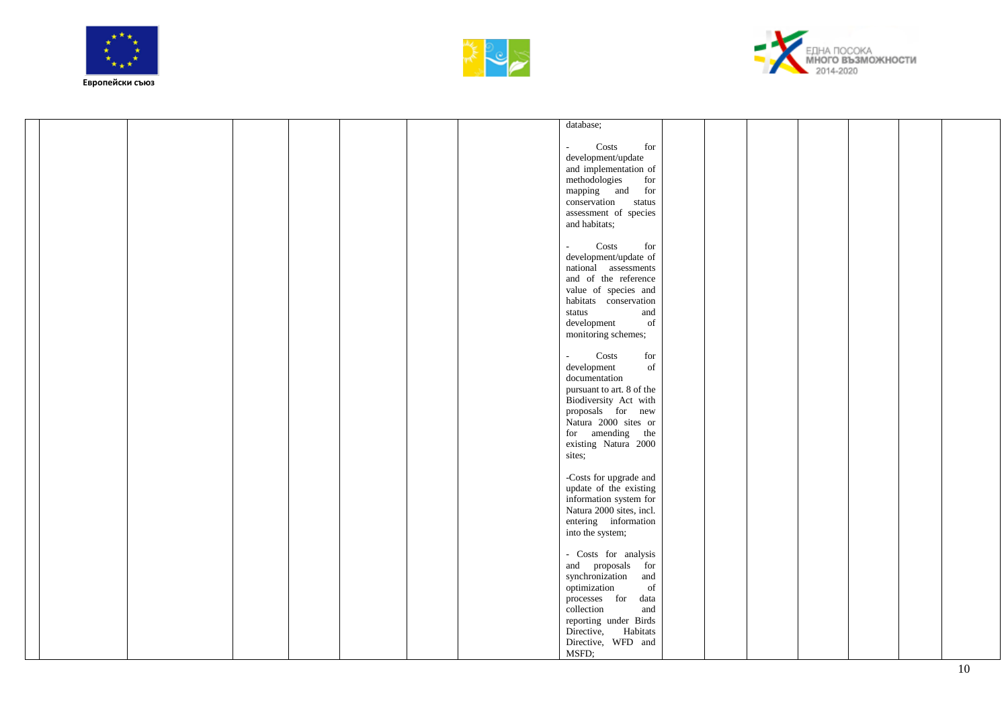





|  |  |  |  | database;                                                    |  |  |  |
|--|--|--|--|--------------------------------------------------------------|--|--|--|
|  |  |  |  |                                                              |  |  |  |
|  |  |  |  | Costs<br>for<br>$\sim$                                       |  |  |  |
|  |  |  |  | development/update                                           |  |  |  |
|  |  |  |  |                                                              |  |  |  |
|  |  |  |  | and implementation of                                        |  |  |  |
|  |  |  |  | methodologies<br>for                                         |  |  |  |
|  |  |  |  | mapping and for                                              |  |  |  |
|  |  |  |  | conservation status                                          |  |  |  |
|  |  |  |  | assessment of species                                        |  |  |  |
|  |  |  |  | and habitats;                                                |  |  |  |
|  |  |  |  |                                                              |  |  |  |
|  |  |  |  |                                                              |  |  |  |
|  |  |  |  | Costs<br>for<br>$\omega_{\rm c}$                             |  |  |  |
|  |  |  |  | development/update of                                        |  |  |  |
|  |  |  |  | national assessments                                         |  |  |  |
|  |  |  |  | and of the reference                                         |  |  |  |
|  |  |  |  | value of species and                                         |  |  |  |
|  |  |  |  | habitats conservation                                        |  |  |  |
|  |  |  |  | status<br>and                                                |  |  |  |
|  |  |  |  | of                                                           |  |  |  |
|  |  |  |  | development                                                  |  |  |  |
|  |  |  |  | monitoring schemes;                                          |  |  |  |
|  |  |  |  |                                                              |  |  |  |
|  |  |  |  | Costs<br>$\operatorname{for}$<br>$\mathcal{L}_{\mathcal{A}}$ |  |  |  |
|  |  |  |  | development<br>of                                            |  |  |  |
|  |  |  |  | documentation                                                |  |  |  |
|  |  |  |  | pursuant to art. 8 of the                                    |  |  |  |
|  |  |  |  | Biodiversity Act with                                        |  |  |  |
|  |  |  |  |                                                              |  |  |  |
|  |  |  |  | proposals for new                                            |  |  |  |
|  |  |  |  | Natura 2000 sites or                                         |  |  |  |
|  |  |  |  | for amending the                                             |  |  |  |
|  |  |  |  | existing Natura 2000                                         |  |  |  |
|  |  |  |  | sites;                                                       |  |  |  |
|  |  |  |  |                                                              |  |  |  |
|  |  |  |  | -Costs for upgrade and                                       |  |  |  |
|  |  |  |  |                                                              |  |  |  |
|  |  |  |  | update of the existing                                       |  |  |  |
|  |  |  |  | information system for                                       |  |  |  |
|  |  |  |  | Natura 2000 sites, incl.                                     |  |  |  |
|  |  |  |  | entering information                                         |  |  |  |
|  |  |  |  | into the system;                                             |  |  |  |
|  |  |  |  |                                                              |  |  |  |
|  |  |  |  | - Costs for analysis                                         |  |  |  |
|  |  |  |  |                                                              |  |  |  |
|  |  |  |  | and proposals for                                            |  |  |  |
|  |  |  |  | synchronization<br>and                                       |  |  |  |
|  |  |  |  | of<br>optimization                                           |  |  |  |
|  |  |  |  | processes for data                                           |  |  |  |
|  |  |  |  | collection<br>and                                            |  |  |  |
|  |  |  |  | reporting under Birds                                        |  |  |  |
|  |  |  |  | Habitats<br>Directive,                                       |  |  |  |
|  |  |  |  |                                                              |  |  |  |
|  |  |  |  | Directive, WFD and                                           |  |  |  |
|  |  |  |  | MSFD;                                                        |  |  |  |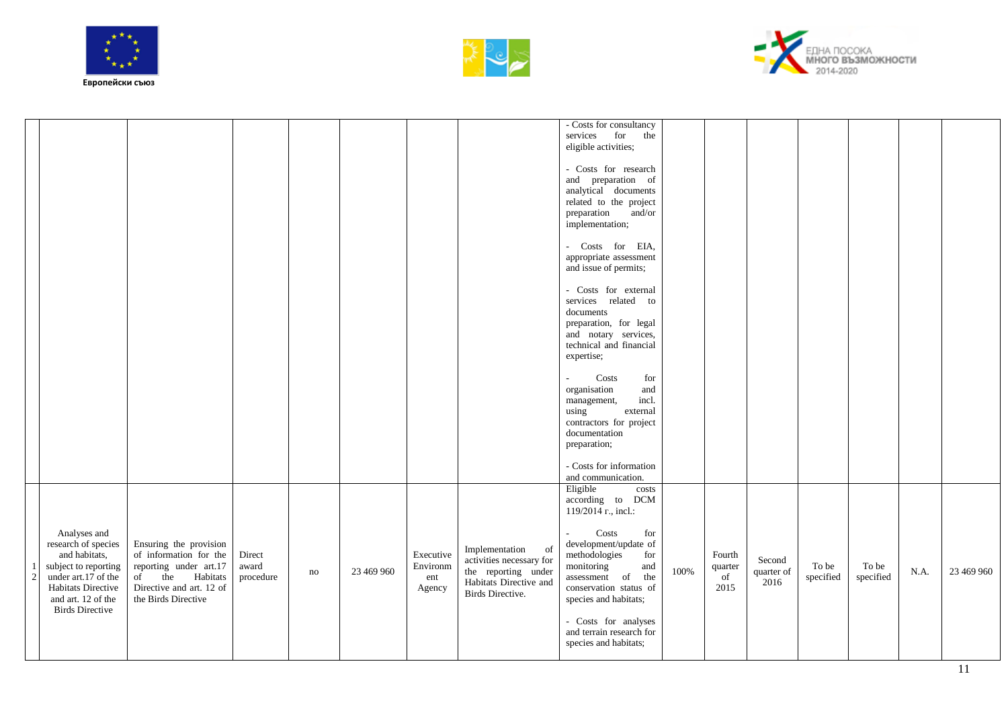





|                |                                                                                                                                                                           |                                                                                                                                                  |                              |          |            |                                        |                                                                                                                              | - Costs for consultancy<br>for<br>services<br>the<br>eligible activities;<br>- Costs for research<br>and preparation of<br>analytical documents<br>related to the project<br>preparation<br>and/or<br>implementation;<br>- Costs for EIA,                                                               |      |                                      |                              |                    |                    |      |            |
|----------------|---------------------------------------------------------------------------------------------------------------------------------------------------------------------------|--------------------------------------------------------------------------------------------------------------------------------------------------|------------------------------|----------|------------|----------------------------------------|------------------------------------------------------------------------------------------------------------------------------|---------------------------------------------------------------------------------------------------------------------------------------------------------------------------------------------------------------------------------------------------------------------------------------------------------|------|--------------------------------------|------------------------------|--------------------|--------------------|------|------------|
|                |                                                                                                                                                                           |                                                                                                                                                  |                              |          |            |                                        |                                                                                                                              | appropriate assessment<br>and issue of permits;<br>- Costs for external<br>services related to<br>documents<br>preparation, for legal<br>and notary services,<br>technical and financial<br>expertise;                                                                                                  |      |                                      |                              |                    |                    |      |            |
|                |                                                                                                                                                                           |                                                                                                                                                  |                              |          |            |                                        |                                                                                                                              | Costs<br>for<br>organisation<br>and<br>incl.<br>management,<br>external<br>using<br>contractors for project<br>documentation<br>preparation;<br>- Costs for information<br>and communication.                                                                                                           |      |                                      |                              |                    |                    |      |            |
| $\overline{c}$ | Analyses and<br>research of species<br>and habitats,<br>subject to reporting<br>under art.17 of the<br>Habitats Directive<br>and art. 12 of the<br><b>Birds Directive</b> | Ensuring the provision<br>of information for the<br>reporting under art.17<br>of the Habitats<br>Directive and art. 12 of<br>the Birds Directive | Direct<br>award<br>procedure | $\rm no$ | 23 469 960 | Executive<br>Environm<br>ent<br>Agency | Implementation<br>of<br>activities necessary for<br>the reporting under<br>Habitats Directive and<br><b>Birds Directive.</b> | Eligible<br>costs<br>according to DCM<br>119/2014 r., incl.:<br>Costs<br>for<br>development/update of<br>methodologies<br>for<br>monitoring<br>and<br>assessment of the<br>conservation status of<br>species and habitats;<br>- Costs for analyses<br>and terrain research for<br>species and habitats; | 100% | Fourth<br>$\,$ quarter<br>of<br>2015 | Second<br>quarter of<br>2016 | To be<br>specified | To be<br>specified | N.A. | 23 469 960 |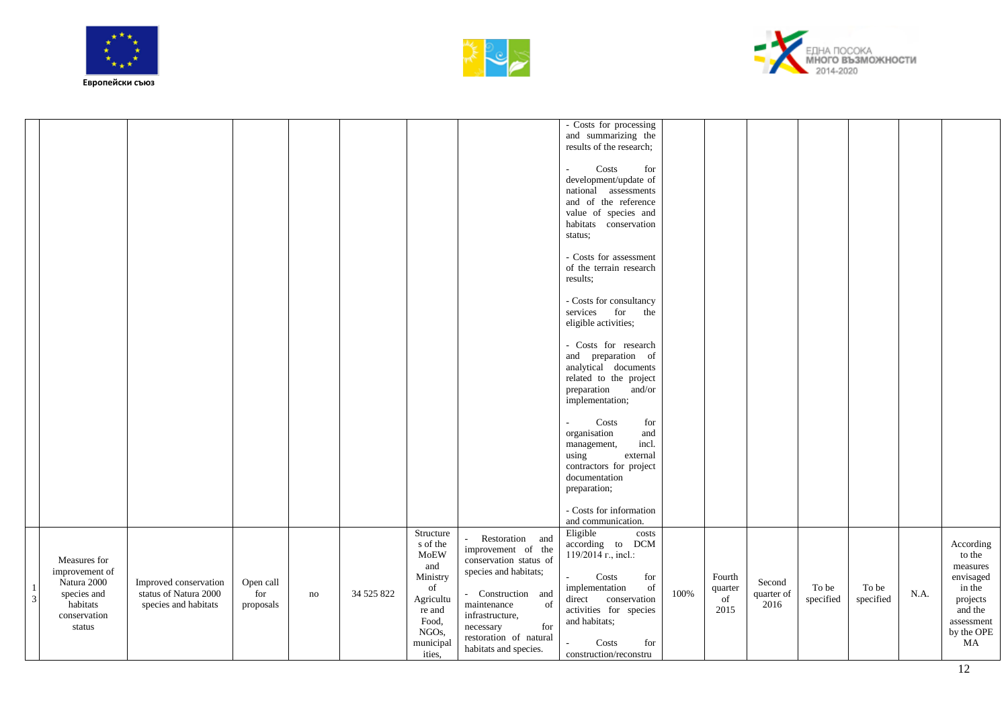





|                              |                                                                                                    |                                                                        |                               |    |            |                                                                                                                        |                                                                                                                                                                                                                               | - Costs for processing<br>and summarizing the<br>results of the research;<br>Costs<br>for<br>development/update of<br>national assessments<br>and of the reference<br>value of species and<br>habitats conservation<br>status;           |      |                                 |                              |                    |                    |      |                                                                                                                 |
|------------------------------|----------------------------------------------------------------------------------------------------|------------------------------------------------------------------------|-------------------------------|----|------------|------------------------------------------------------------------------------------------------------------------------|-------------------------------------------------------------------------------------------------------------------------------------------------------------------------------------------------------------------------------|------------------------------------------------------------------------------------------------------------------------------------------------------------------------------------------------------------------------------------------|------|---------------------------------|------------------------------|--------------------|--------------------|------|-----------------------------------------------------------------------------------------------------------------|
|                              |                                                                                                    |                                                                        |                               |    |            |                                                                                                                        |                                                                                                                                                                                                                               | - Costs for assessment<br>of the terrain research<br>results:<br>- Costs for consultancy<br>services for<br>the<br>eligible activities;                                                                                                  |      |                                 |                              |                    |                    |      |                                                                                                                 |
|                              |                                                                                                    |                                                                        |                               |    |            |                                                                                                                        |                                                                                                                                                                                                                               | - Costs for research<br>and preparation of<br>analytical documents<br>related to the project<br>preparation<br>and/or<br>implementation;                                                                                                 |      |                                 |                              |                    |                    |      |                                                                                                                 |
|                              |                                                                                                    |                                                                        |                               |    |            |                                                                                                                        |                                                                                                                                                                                                                               | Costs<br>for<br>organisation<br>and<br>incl.<br>management,<br>external<br>using<br>contractors for project<br>documentation<br>preparation;<br>- Costs for information                                                                  |      |                                 |                              |                    |                    |      |                                                                                                                 |
| $\mathbf{1}$<br>$\mathbf{3}$ | Measures for<br>improvement of<br>Natura 2000<br>species and<br>habitats<br>conservation<br>status | Improved conservation<br>status of Natura 2000<br>species and habitats | Open call<br>for<br>proposals | no | 34 525 822 | Structure<br>s of the<br>MoEW<br>and<br>Ministry<br>of<br>Agricultu<br>re and<br>Food,<br>NGOs,<br>municipal<br>ities, | Restoration and<br>improvement of the<br>conservation status of<br>species and habitats;<br>- Construction and<br>of<br>maintenance<br>infrastructure,<br>for<br>necessary<br>restoration of natural<br>habitats and species. | and communication.<br>Eligible<br>costs<br>according to DCM<br>$119/2014$ r., incl.:<br>Costs<br>for<br>implementation<br>of<br>direct conservation<br>activities for species<br>and habitats;<br>Costs<br>for<br>construction/reconstru | 100% | Fourth<br>quarter<br>of<br>2015 | Second<br>quarter of<br>2016 | To be<br>specified | To be<br>specified | N.A. | According<br>to the<br>measures<br>envisaged<br>in the<br>projects<br>and the<br>assessment<br>by the OPE<br>MA |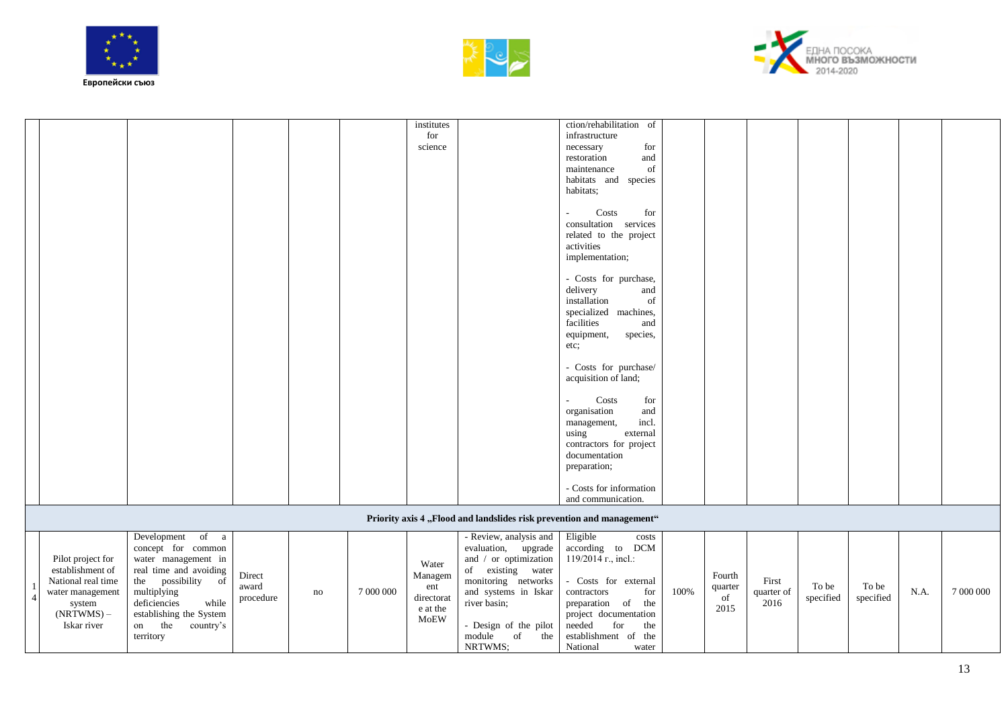

(NRTWMS) – Iskar river

establishing the System on the country's

territory





|                    |                          |                            |    |           | institutes |                        | ction/rehabilitation of                                               |      |         |            |           |           |      |           |
|--------------------|--------------------------|----------------------------|----|-----------|------------|------------------------|-----------------------------------------------------------------------|------|---------|------------|-----------|-----------|------|-----------|
|                    |                          |                            |    |           | for        |                        | infrastructure                                                        |      |         |            |           |           |      |           |
|                    |                          |                            |    |           | science    |                        | for<br>necessary                                                      |      |         |            |           |           |      |           |
|                    |                          |                            |    |           |            |                        | and<br>restoration                                                    |      |         |            |           |           |      |           |
|                    |                          |                            |    |           |            |                        | of<br>maintenance                                                     |      |         |            |           |           |      |           |
|                    |                          |                            |    |           |            |                        | habitats and species                                                  |      |         |            |           |           |      |           |
|                    |                          |                            |    |           |            |                        | habitats;                                                             |      |         |            |           |           |      |           |
|                    |                          |                            |    |           |            |                        |                                                                       |      |         |            |           |           |      |           |
|                    |                          |                            |    |           |            |                        | Costs<br>for                                                          |      |         |            |           |           |      |           |
|                    |                          |                            |    |           |            |                        | consultation services                                                 |      |         |            |           |           |      |           |
|                    |                          |                            |    |           |            |                        | related to the project                                                |      |         |            |           |           |      |           |
|                    |                          |                            |    |           |            |                        | activities                                                            |      |         |            |           |           |      |           |
|                    |                          |                            |    |           |            |                        | implementation;                                                       |      |         |            |           |           |      |           |
|                    |                          |                            |    |           |            |                        |                                                                       |      |         |            |           |           |      |           |
|                    |                          |                            |    |           |            |                        | - Costs for purchase,                                                 |      |         |            |           |           |      |           |
|                    |                          |                            |    |           |            |                        | delivery<br>and                                                       |      |         |            |           |           |      |           |
|                    |                          |                            |    |           |            |                        | installation<br>of                                                    |      |         |            |           |           |      |           |
|                    |                          |                            |    |           |            |                        | specialized machines,                                                 |      |         |            |           |           |      |           |
|                    |                          |                            |    |           |            |                        | facilities<br>and                                                     |      |         |            |           |           |      |           |
|                    |                          |                            |    |           |            |                        | species,<br>equipment,                                                |      |         |            |           |           |      |           |
|                    |                          |                            |    |           |            |                        | etc;                                                                  |      |         |            |           |           |      |           |
|                    |                          |                            |    |           |            |                        |                                                                       |      |         |            |           |           |      |           |
|                    |                          |                            |    |           |            |                        | - Costs for purchase/                                                 |      |         |            |           |           |      |           |
|                    |                          |                            |    |           |            |                        | acquisition of land;                                                  |      |         |            |           |           |      |           |
|                    |                          |                            |    |           |            |                        |                                                                       |      |         |            |           |           |      |           |
|                    |                          |                            |    |           |            |                        | Costs<br>for                                                          |      |         |            |           |           |      |           |
|                    |                          |                            |    |           |            |                        | organisation<br>and                                                   |      |         |            |           |           |      |           |
|                    |                          |                            |    |           |            |                        | incl.<br>management,                                                  |      |         |            |           |           |      |           |
|                    |                          |                            |    |           |            |                        | using<br>external                                                     |      |         |            |           |           |      |           |
|                    |                          |                            |    |           |            |                        | contractors for project                                               |      |         |            |           |           |      |           |
|                    |                          |                            |    |           |            |                        | documentation                                                         |      |         |            |           |           |      |           |
|                    |                          |                            |    |           |            |                        | preparation;                                                          |      |         |            |           |           |      |           |
|                    |                          |                            |    |           |            |                        |                                                                       |      |         |            |           |           |      |           |
|                    |                          |                            |    |           |            |                        | - Costs for information                                               |      |         |            |           |           |      |           |
|                    |                          |                            |    |           |            |                        | and communication.                                                    |      |         |            |           |           |      |           |
|                    |                          |                            |    |           |            |                        | Priority axis 4 "Flood and landslides risk prevention and management" |      |         |            |           |           |      |           |
|                    |                          |                            |    |           |            |                        |                                                                       |      |         |            |           |           |      |           |
|                    | Development of a         |                            |    |           |            | - Review, analysis and | Eligible<br>costs                                                     |      |         |            |           |           |      |           |
|                    | concept for common       |                            |    |           |            | evaluation, upgrade    | according to DCM                                                      |      |         |            |           |           |      |           |
| Pilot project for  | water management in      |                            |    |           | Water      | and / or optimization  | 119/2014 r., incl.:                                                   |      |         |            |           |           |      |           |
| establishment of   | real time and avoiding   | Direct                     |    |           | Managem    | of existing water      |                                                                       |      | Fourth  |            |           |           |      |           |
| National real time | possibility<br>the<br>of | award                      |    |           | ent        | monitoring networks    | - Costs for external                                                  |      | quarter | First      | To be     | To be     |      |           |
| water management   | multiplying              | $\operatorname{procedure}$ | no | 7 000 000 | directorat | and systems in Iskar   | for<br>contractors                                                    | 100% | of      | quarter of | specified | specified | N.A. | 7 000 000 |
| system             | while<br>deficiencies    |                            |    |           | $2.04$ the | river basin;           | preparation<br>the<br>of                                              |      | 2015    | 2016       |           |           |      |           |

- Design of the pilot module of the

project documentation needed for the establishment of the 2015

National

NRTWMS;

e at the MoEW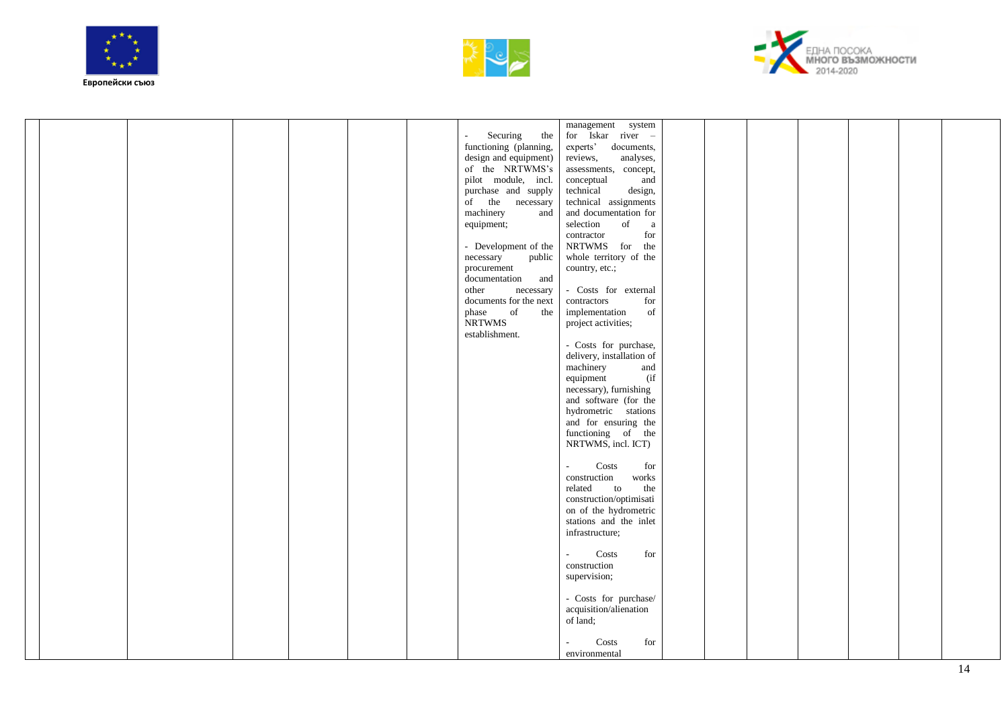





|  |  |  |                                             | management system                        |  |  |  |  |
|--|--|--|---------------------------------------------|------------------------------------------|--|--|--|--|
|  |  |  | Securing<br>the<br>$\overline{\phantom{a}}$ | for Iskar river -                        |  |  |  |  |
|  |  |  | functioning (planning,                      | experts'<br>documents,                   |  |  |  |  |
|  |  |  | design and equipment)                       | reviews,<br>analyses,                    |  |  |  |  |
|  |  |  | of the NRTWMS's                             | assessments, concept,                    |  |  |  |  |
|  |  |  | pilot module, incl.                         | conceptual<br>and                        |  |  |  |  |
|  |  |  | purchase and supply                         | technical<br>design,                     |  |  |  |  |
|  |  |  | of the necessary                            | technical assignments                    |  |  |  |  |
|  |  |  | machinery<br>and                            | and documentation for                    |  |  |  |  |
|  |  |  | equipment;                                  | selection<br>of<br>a                     |  |  |  |  |
|  |  |  |                                             | for                                      |  |  |  |  |
|  |  |  |                                             | contractor<br>NRTWMS for the             |  |  |  |  |
|  |  |  | - Development of the                        |                                          |  |  |  |  |
|  |  |  | public<br>necessary                         | whole territory of the                   |  |  |  |  |
|  |  |  | procurement                                 | country, etc.;                           |  |  |  |  |
|  |  |  | documentation and                           |                                          |  |  |  |  |
|  |  |  | necessary<br>other                          | - Costs for external                     |  |  |  |  |
|  |  |  | documents for the next                      | contractors<br>for                       |  |  |  |  |
|  |  |  | of<br>phase<br>the                          | implementation<br>of                     |  |  |  |  |
|  |  |  | <b>NRTWMS</b>                               | project activities;                      |  |  |  |  |
|  |  |  | establishment.                              |                                          |  |  |  |  |
|  |  |  |                                             | - Costs for purchase,                    |  |  |  |  |
|  |  |  |                                             | delivery, installation of                |  |  |  |  |
|  |  |  |                                             | machinery<br>and                         |  |  |  |  |
|  |  |  |                                             | $($ if<br>equipment                      |  |  |  |  |
|  |  |  |                                             | necessary), furnishing                   |  |  |  |  |
|  |  |  |                                             | and software (for the                    |  |  |  |  |
|  |  |  |                                             | hydrometric stations                     |  |  |  |  |
|  |  |  |                                             | and for ensuring the                     |  |  |  |  |
|  |  |  |                                             | functioning of the                       |  |  |  |  |
|  |  |  |                                             | NRTWMS, incl. ICT)                       |  |  |  |  |
|  |  |  |                                             |                                          |  |  |  |  |
|  |  |  |                                             | Costs<br>for<br>$\blacksquare$           |  |  |  |  |
|  |  |  |                                             | construction<br>works                    |  |  |  |  |
|  |  |  |                                             | related<br>the<br>to                     |  |  |  |  |
|  |  |  |                                             | construction/optimisati                  |  |  |  |  |
|  |  |  |                                             | on of the hydrometric                    |  |  |  |  |
|  |  |  |                                             | stations and the inlet                   |  |  |  |  |
|  |  |  |                                             | infrastructure;                          |  |  |  |  |
|  |  |  |                                             |                                          |  |  |  |  |
|  |  |  |                                             | Costs<br>for<br>$\overline{\phantom{a}}$ |  |  |  |  |
|  |  |  |                                             | construction                             |  |  |  |  |
|  |  |  |                                             | supervision;                             |  |  |  |  |
|  |  |  |                                             |                                          |  |  |  |  |
|  |  |  |                                             | - Costs for purchase/                    |  |  |  |  |
|  |  |  |                                             | acquisition/alienation                   |  |  |  |  |
|  |  |  |                                             | of land;                                 |  |  |  |  |
|  |  |  |                                             |                                          |  |  |  |  |
|  |  |  |                                             | Costs<br>for                             |  |  |  |  |
|  |  |  |                                             | environmental                            |  |  |  |  |
|  |  |  |                                             |                                          |  |  |  |  |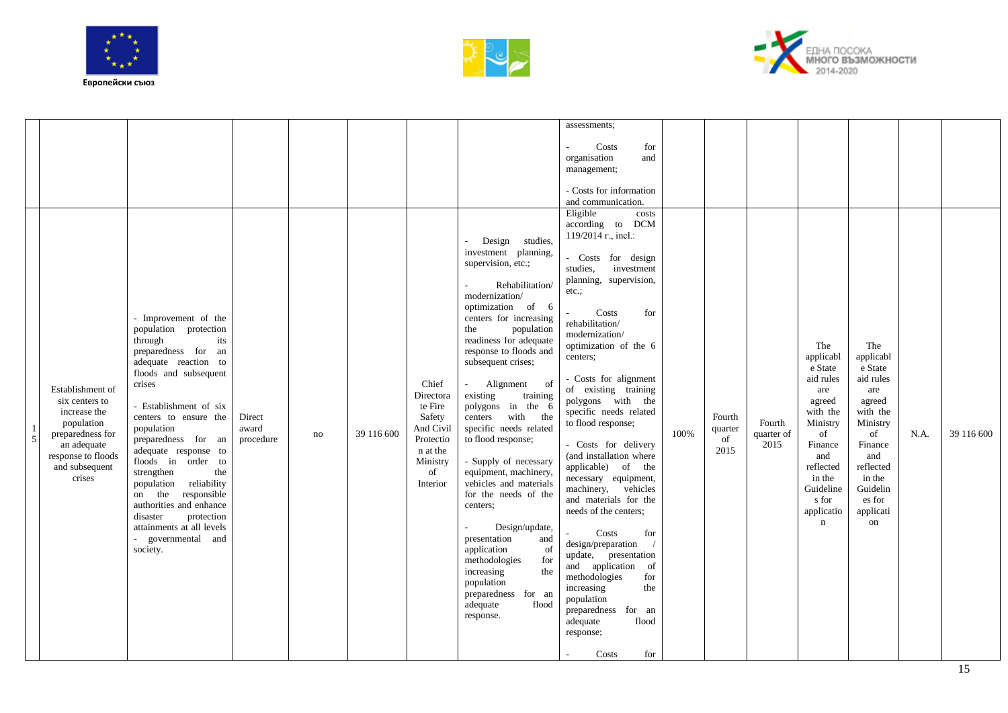





|               |                                                                                                                                                       |                                                                                                                                                                                                                                                                                                                                                                                                                                                                                |                              |    |            |                                                                                                             |                                                                                                                                                                                                                                                                                                                                                                                                                                                                                                                                                                                                                                                                                       | assessments:                                                                                                                                                                                                                                                                                                                                                                                                                                                                                                                                                                                                                                                                                                                                                            |      |                                 |                              |                                                                                                                                                                           |                                                                                                                                                                           |      |            |
|---------------|-------------------------------------------------------------------------------------------------------------------------------------------------------|--------------------------------------------------------------------------------------------------------------------------------------------------------------------------------------------------------------------------------------------------------------------------------------------------------------------------------------------------------------------------------------------------------------------------------------------------------------------------------|------------------------------|----|------------|-------------------------------------------------------------------------------------------------------------|---------------------------------------------------------------------------------------------------------------------------------------------------------------------------------------------------------------------------------------------------------------------------------------------------------------------------------------------------------------------------------------------------------------------------------------------------------------------------------------------------------------------------------------------------------------------------------------------------------------------------------------------------------------------------------------|-------------------------------------------------------------------------------------------------------------------------------------------------------------------------------------------------------------------------------------------------------------------------------------------------------------------------------------------------------------------------------------------------------------------------------------------------------------------------------------------------------------------------------------------------------------------------------------------------------------------------------------------------------------------------------------------------------------------------------------------------------------------------|------|---------------------------------|------------------------------|---------------------------------------------------------------------------------------------------------------------------------------------------------------------------|---------------------------------------------------------------------------------------------------------------------------------------------------------------------------|------|------------|
|               |                                                                                                                                                       |                                                                                                                                                                                                                                                                                                                                                                                                                                                                                |                              |    |            |                                                                                                             |                                                                                                                                                                                                                                                                                                                                                                                                                                                                                                                                                                                                                                                                                       | Costs<br>for<br>organisation<br>and<br>management;<br>- Costs for information<br>and communication.                                                                                                                                                                                                                                                                                                                                                                                                                                                                                                                                                                                                                                                                     |      |                                 |                              |                                                                                                                                                                           |                                                                                                                                                                           |      |            |
| $\frac{1}{5}$ | Establishment of<br>six centers to<br>increase the<br>population<br>preparedness for<br>an adequate<br>response to floods<br>and subsequent<br>crises | - Improvement of the<br>population protection<br>through<br>its<br>preparedness for an<br>adequate reaction to<br>floods and subsequent<br>crises<br>- Establishment of six<br>centers to ensure the<br>population<br>preparedness for an<br>adequate response to<br>floods in order to<br>strengthen<br>the<br>population reliability<br>on the responsible<br>authorities and enhance<br>protection<br>disaster<br>attainments at all levels<br>governmental and<br>society. | Direct<br>award<br>procedure | no | 39 116 600 | Chief<br>Directora<br>te Fire<br>Safety<br>And Civil<br>Protectio<br>n at the<br>Ministry<br>of<br>Interior | - Design studies,<br>investment planning,<br>supervision, etc.;<br>Rehabilitation/<br>modernization/<br>optimization of 6<br>centers for increasing<br>the<br>population<br>readiness for adequate<br>response to floods and<br>subsequent crises;<br>Alignment of<br>existing<br>training<br>polygons in the 6<br>centers with the<br>specific needs related<br>to flood response;<br>- Supply of necessary<br>equipment, machinery,<br>vehicles and materials<br>for the needs of the<br>centers;<br>Design/update,<br>presentation<br>and<br>application<br>of<br>methodologies<br>for<br>increasing<br>the<br>population<br>preparedness for an<br>adequate<br>flood<br>response. | Eligible<br>costs<br>according to DCM<br>119/2014 r., incl.:<br>- Costs for design<br>investment<br>studies,<br>planning, supervision,<br>$etc.$ ;<br>Costs<br>for<br>rehabilitation/<br>modernization/<br>optimization of the 6<br>centers;<br>- Costs for alignment<br>of existing training<br>polygons with the<br>specific needs related<br>to flood response;<br>- Costs for delivery<br>(and installation where<br>applicable) of the<br>necessary equipment,<br>machinery, vehicles<br>and materials for the<br>needs of the centers;<br>Costs<br>for<br>design/preparation<br>update, presentation<br>and application<br>of<br>methodologies<br>for<br>increasing<br>the<br>population<br>preparedness for an<br>adequate<br>flood<br>response;<br>Costs<br>for | 100% | Fourth<br>quarter<br>of<br>2015 | Fourth<br>quarter of<br>2015 | The<br>applicabl<br>e State<br>aid rules<br>are<br>agreed<br>with the<br>Ministry<br>of<br>Finance<br>and<br>reflected<br>in the<br>Guideline<br>s for<br>applicatio<br>n | The<br>applicabl<br>e State<br>aid rules<br>are<br>agreed<br>with the<br>Ministry<br>of<br>Finance<br>and<br>reflected<br>in the<br>Guidelin<br>es for<br>applicati<br>on | N.A. | 39 116 600 |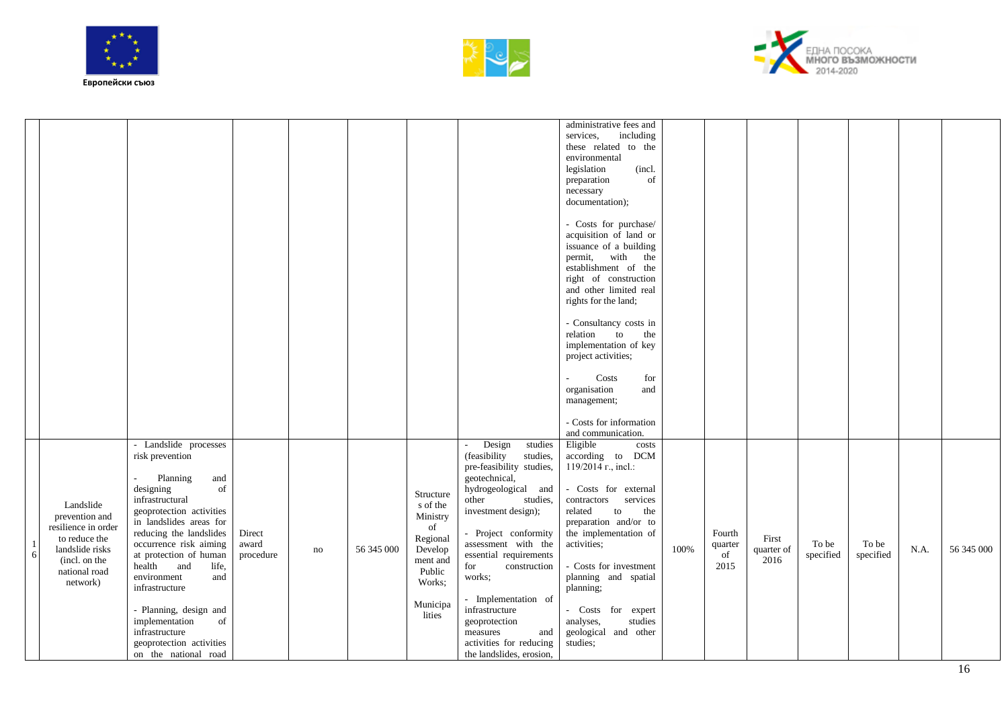





|    |                                       |                                      |           |    |            |                                                                         |                                           | administrative fees and<br>services.            |      |         |            |           |           |      |            |
|----|---------------------------------------|--------------------------------------|-----------|----|------------|-------------------------------------------------------------------------|-------------------------------------------|-------------------------------------------------|------|---------|------------|-----------|-----------|------|------------|
|    |                                       |                                      |           |    |            |                                                                         |                                           | including<br>these related to the               |      |         |            |           |           |      |            |
|    |                                       |                                      |           |    |            |                                                                         |                                           | environmental                                   |      |         |            |           |           |      |            |
|    |                                       |                                      |           |    |            |                                                                         |                                           | (incl.<br>legislation                           |      |         |            |           |           |      |            |
|    |                                       |                                      |           |    |            |                                                                         |                                           | of<br>preparation                               |      |         |            |           |           |      |            |
|    |                                       |                                      |           |    |            |                                                                         |                                           | necessary                                       |      |         |            |           |           |      |            |
|    |                                       |                                      |           |    |            |                                                                         |                                           | documentation);                                 |      |         |            |           |           |      |            |
|    |                                       |                                      |           |    |            |                                                                         |                                           |                                                 |      |         |            |           |           |      |            |
|    |                                       |                                      |           |    |            |                                                                         |                                           | - Costs for purchase/                           |      |         |            |           |           |      |            |
|    |                                       |                                      |           |    |            |                                                                         |                                           | acquisition of land or                          |      |         |            |           |           |      |            |
|    |                                       |                                      |           |    |            |                                                                         |                                           | issuance of a building                          |      |         |            |           |           |      |            |
|    |                                       |                                      |           |    |            |                                                                         |                                           | permit, with the                                |      |         |            |           |           |      |            |
|    |                                       |                                      |           |    |            |                                                                         |                                           | establishment of the                            |      |         |            |           |           |      |            |
|    |                                       |                                      |           |    |            |                                                                         |                                           | right of construction<br>and other limited real |      |         |            |           |           |      |            |
|    |                                       |                                      |           |    |            |                                                                         |                                           | rights for the land;                            |      |         |            |           |           |      |            |
|    |                                       |                                      |           |    |            |                                                                         |                                           |                                                 |      |         |            |           |           |      |            |
|    |                                       |                                      |           |    |            |                                                                         |                                           | - Consultancy costs in                          |      |         |            |           |           |      |            |
|    |                                       |                                      |           |    |            |                                                                         |                                           | the<br>relation<br>to                           |      |         |            |           |           |      |            |
|    |                                       |                                      |           |    |            |                                                                         |                                           | implementation of key                           |      |         |            |           |           |      |            |
|    |                                       |                                      |           |    |            |                                                                         |                                           | project activities;                             |      |         |            |           |           |      |            |
|    |                                       |                                      |           |    |            |                                                                         |                                           |                                                 |      |         |            |           |           |      |            |
|    |                                       |                                      |           |    |            |                                                                         |                                           | Costs<br>for<br>organisation<br>and             |      |         |            |           |           |      |            |
|    |                                       |                                      |           |    |            |                                                                         |                                           | management;                                     |      |         |            |           |           |      |            |
|    |                                       |                                      |           |    |            |                                                                         |                                           |                                                 |      |         |            |           |           |      |            |
|    |                                       |                                      |           |    |            |                                                                         |                                           | - Costs for information                         |      |         |            |           |           |      |            |
|    |                                       |                                      |           |    |            |                                                                         |                                           | and communication.                              |      |         |            |           |           |      |            |
|    |                                       | - Landslide processes                |           |    |            |                                                                         | Design<br>studies                         | Eligible<br>costs                               |      |         |            |           |           |      |            |
|    |                                       | risk prevention                      |           |    |            |                                                                         | (feasibility<br>studies,                  | according to DCM                                |      |         |            |           |           |      |            |
|    |                                       | Planning<br>and                      |           |    |            |                                                                         | pre-feasibility studies,<br>geotechnical, | 119/2014 r., incl.:                             |      |         |            |           |           |      |            |
|    |                                       | designing<br>of                      |           |    |            |                                                                         | hydrogeological and                       | - Costs for external                            |      |         |            |           |           |      |            |
|    |                                       | infrastructural                      |           |    |            | Structure                                                               | other<br>studies,                         | contractors<br>services                         |      |         |            |           |           |      |            |
|    | Landslide                             | geoprotection activities             |           |    |            | s of the                                                                | investment design);                       | related<br>to<br>the                            |      |         |            |           |           |      |            |
|    | prevention and<br>resilience in order | in landslides areas for              |           |    |            | Ministry<br>$% \left( \left( \mathcal{A},\mathcal{A}\right) \right)$ of |                                           | preparation and/or to                           |      |         |            |           |           |      |            |
|    | to reduce the                         | reducing the landslides              | Direct    |    |            | Regional                                                                | - Project conformity                      | the implementation of                           |      | Fourth  | First      |           |           |      |            |
| -1 | landslide risks                       | occurrence risk aiming               | award     | no | 56 345 000 | Develop                                                                 | assessment with the                       | activities;                                     | 100% | quarter | quarter of | To be     | To be     | N.A. | 56 345 000 |
| 6  | (incl. on the                         | at protection of human               | procedure |    |            | ment and                                                                | essential requirements                    |                                                 |      | of      | 2016       | specified | specified |      |            |
|    | national road                         | and<br>health<br>life,               |           |    |            | Public                                                                  | for<br>construction                       | - Costs for investment                          |      | 2015    |            |           |           |      |            |
|    | network)                              | environment<br>and<br>infrastructure |           |    |            | Works;                                                                  | works;                                    | planning and spatial<br>planning;               |      |         |            |           |           |      |            |
|    |                                       |                                      |           |    |            |                                                                         | - Implementation of                       |                                                 |      |         |            |           |           |      |            |
|    |                                       | - Planning, design and               |           |    |            | Municipa                                                                | infrastructure                            | - Costs for expert                              |      |         |            |           |           |      |            |
|    |                                       | implementation<br>of                 |           |    |            | lities                                                                  | geoprotection                             | analyses,<br>studies                            |      |         |            |           |           |      |            |
|    |                                       | infrastructure                       |           |    |            |                                                                         | and<br>measures                           | geological and other                            |      |         |            |           |           |      |            |
|    |                                       | geoprotection activities             |           |    |            |                                                                         | activities for reducing                   | studies;                                        |      |         |            |           |           |      |            |
|    |                                       | on the national road                 |           |    |            |                                                                         | the landslides, erosion,                  |                                                 |      |         |            |           |           |      |            |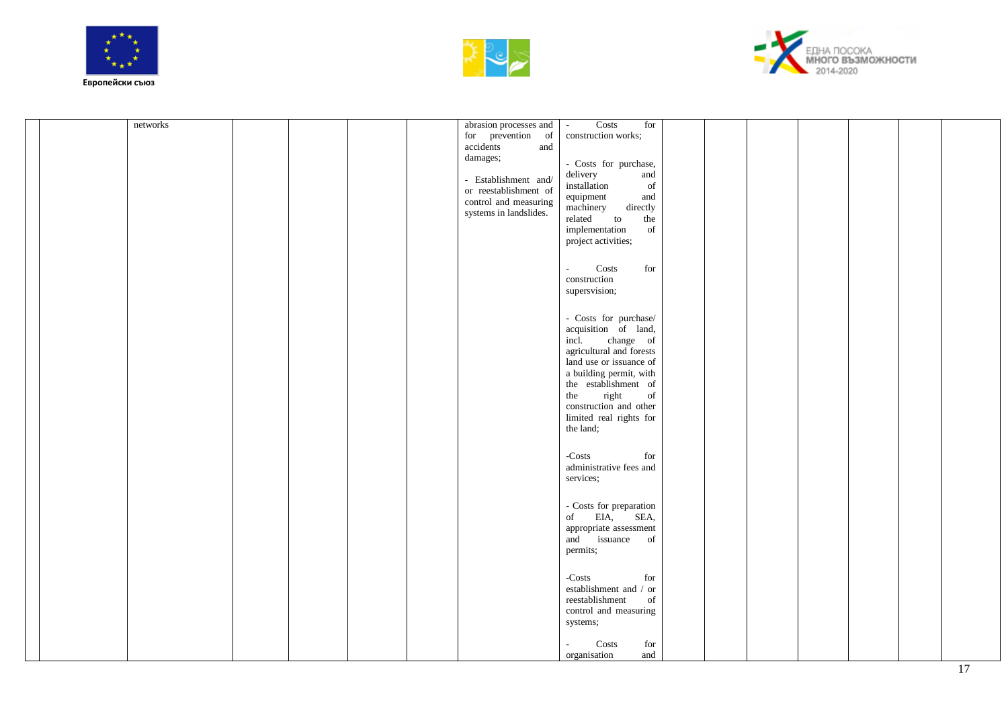





|  | networks |  |  | abrasion processes and<br>for prevention of<br>accidents<br>and<br>damages;<br>- Establishment and/<br>or reestablishment of<br>control and measuring<br>systems in landslides. | Costs<br>for<br>$\sim$<br>construction works;<br>- Costs for purchase,<br>and<br>delivery<br>$\it{installation}$<br>$% \left( \left( \mathcal{A},\mathcal{A}\right) \right)$ of<br>equipment<br>and<br>machinery<br>directly<br>related<br>to<br>the<br>implementation<br>of<br>project activities; |  |  |  |
|--|----------|--|--|---------------------------------------------------------------------------------------------------------------------------------------------------------------------------------|-----------------------------------------------------------------------------------------------------------------------------------------------------------------------------------------------------------------------------------------------------------------------------------------------------|--|--|--|
|  |          |  |  |                                                                                                                                                                                 | $\operatorname{for}$<br>Costs<br>$\omega$<br>construction<br>supersvision;                                                                                                                                                                                                                          |  |  |  |
|  |          |  |  |                                                                                                                                                                                 | - Costs for purchase/<br>acquisition of land,<br>change of<br>incl.<br>agricultural and forests<br>land use or issuance of<br>a building permit, with<br>the establishment of<br>right<br>of<br>the<br>construction and other<br>limited real rights for<br>the land;                               |  |  |  |
|  |          |  |  |                                                                                                                                                                                 | $-Costs$<br>for<br>administrative fees and<br>services;                                                                                                                                                                                                                                             |  |  |  |
|  |          |  |  |                                                                                                                                                                                 | - Costs for preparation<br>of EIA,<br>SEA,<br>appropriate assessment<br>and issuance of<br>permits;                                                                                                                                                                                                 |  |  |  |
|  |          |  |  |                                                                                                                                                                                 | $-Costs$<br>for<br>establishment and / or<br>reestablishment<br>of<br>control and measuring<br>systems;                                                                                                                                                                                             |  |  |  |
|  |          |  |  |                                                                                                                                                                                 | Costs<br>for<br>$\sim$<br>and<br>organisation                                                                                                                                                                                                                                                       |  |  |  |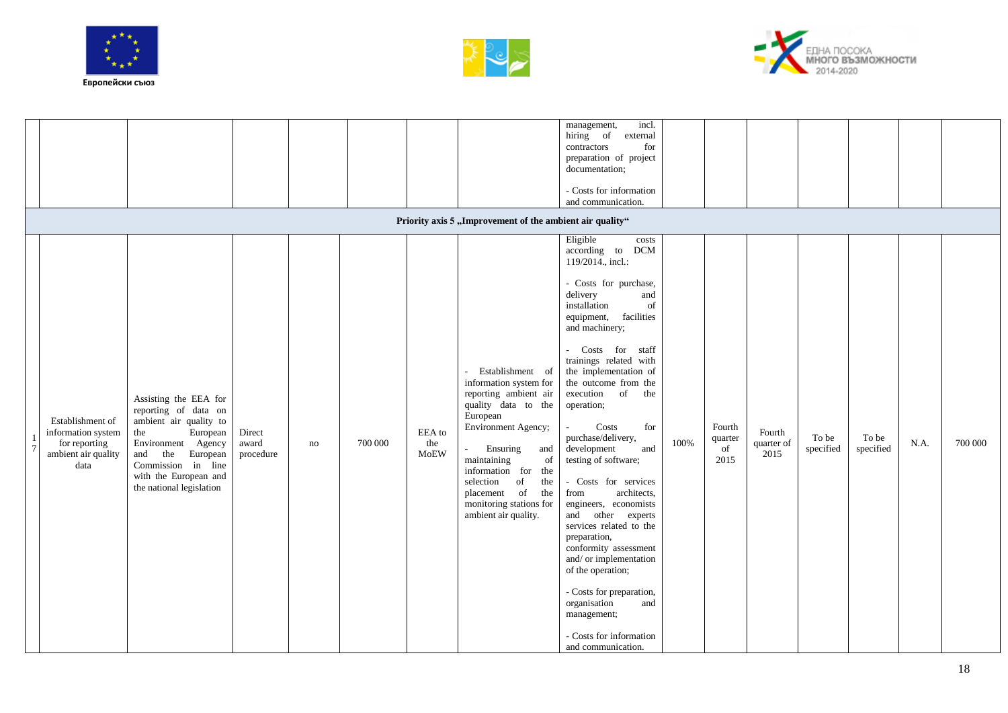





|                                                                                        |                                                                                                                                                                                                                    |                              |    |         |                       | Priority axis 5 "Improvement of the ambient air quality"                                                                                                                                                                                                                                                                       | incl.<br>management,<br>hiring of<br>external<br>for<br>contractors<br>preparation of project<br>documentation;<br>- Costs for information<br>and communication.                                                                                                                                                                                                                                                                                                                                                                                                                                                                                                                                                                          |      |                                 |                              |                    |                    |      |         |
|----------------------------------------------------------------------------------------|--------------------------------------------------------------------------------------------------------------------------------------------------------------------------------------------------------------------|------------------------------|----|---------|-----------------------|--------------------------------------------------------------------------------------------------------------------------------------------------------------------------------------------------------------------------------------------------------------------------------------------------------------------------------|-------------------------------------------------------------------------------------------------------------------------------------------------------------------------------------------------------------------------------------------------------------------------------------------------------------------------------------------------------------------------------------------------------------------------------------------------------------------------------------------------------------------------------------------------------------------------------------------------------------------------------------------------------------------------------------------------------------------------------------------|------|---------------------------------|------------------------------|--------------------|--------------------|------|---------|
| Establishment of<br>information system<br>for reporting<br>ambient air quality<br>data | Assisting the EEA for<br>reporting of data on<br>ambient air quality to<br>European<br>the<br>Environment Agency<br>and the<br>European<br>Commission in line<br>with the European and<br>the national legislation | Direct<br>award<br>procedure | no | 700 000 | EEA to<br>the<br>MoEW | - Establishment of<br>information system for<br>reporting ambient air<br>quality data to the<br>European<br>Environment Agency;<br>Ensuring<br>and<br>$\overline{\phantom{a}}$<br>of<br>maintaining<br>information for<br>the<br>of<br>selection<br>the<br>placement of the<br>monitoring stations for<br>ambient air quality. | Eligible<br>costs<br>according to DCM<br>119/2014., incl.:<br>- Costs for purchase,<br>delivery<br>and<br>installation<br>of<br>facilities<br>equipment,<br>and machinery;<br>- Costs for staff<br>trainings related with<br>the implementation of<br>the outcome from the<br>of<br>execution<br>the<br>operation;<br>Costs<br>for<br>purchase/delivery,<br>development<br>and<br>testing of software;<br>- Costs for services<br>architects.<br>from<br>engineers, economists<br>and other experts<br>services related to the<br>preparation,<br>conformity assessment<br>and/ or implementation<br>of the operation;<br>- Costs for preparation,<br>organisation<br>and<br>management;<br>- Costs for information<br>and communication. | 100% | Fourth<br>quarter<br>of<br>2015 | Fourth<br>quarter of<br>2015 | To be<br>specified | To be<br>specified | N.A. | 700 000 |